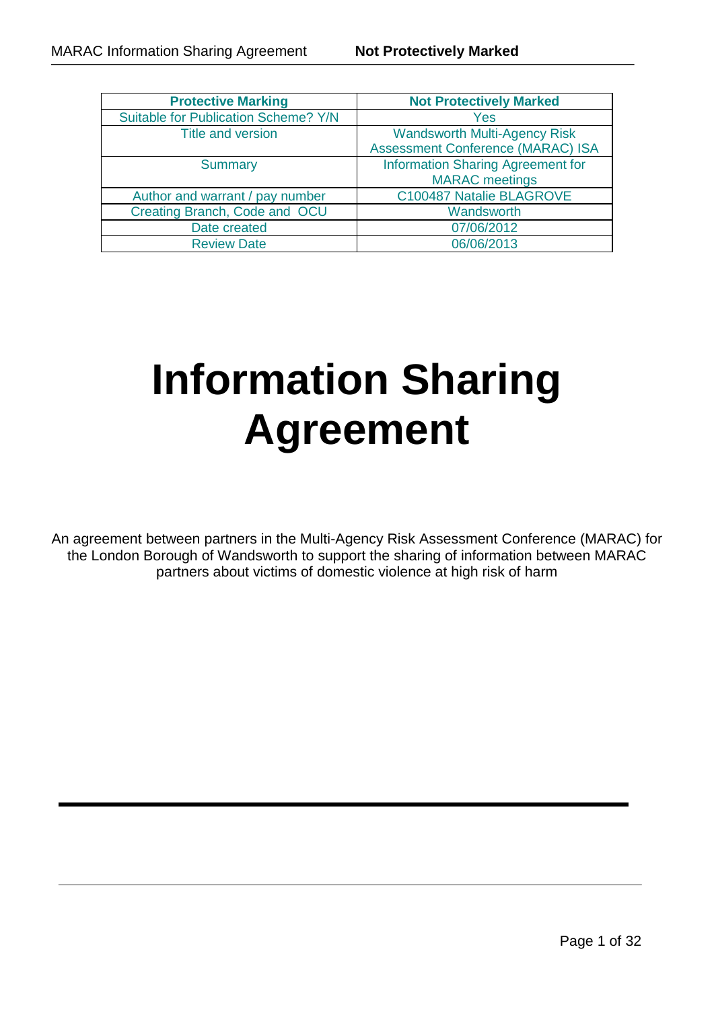| <b>Protective Marking</b>            | <b>Not Protectively Marked</b>           |  |
|--------------------------------------|------------------------------------------|--|
| Suitable for Publication Scheme? Y/N | Yes                                      |  |
| Title and version                    | <b>Wandsworth Multi-Agency Risk</b>      |  |
|                                      | <b>Assessment Conference (MARAC) ISA</b> |  |
| <b>Summary</b>                       | <b>Information Sharing Agreement for</b> |  |
|                                      | <b>MARAC</b> meetings                    |  |
| Author and warrant / pay number      | C100487 Natalie BLAGROVE                 |  |
| Creating Branch, Code and OCU        | Wandsworth                               |  |
| Date created                         | 07/06/2012                               |  |
| <b>Review Date</b>                   | 06/06/2013                               |  |

# **Information Sharing Agreement**

An agreement between partners in the Multi-Agency Risk Assessment Conference (MARAC) for the London Borough of Wandsworth to support the sharing of information between MARAC partners about victims of domestic violence at high risk of harm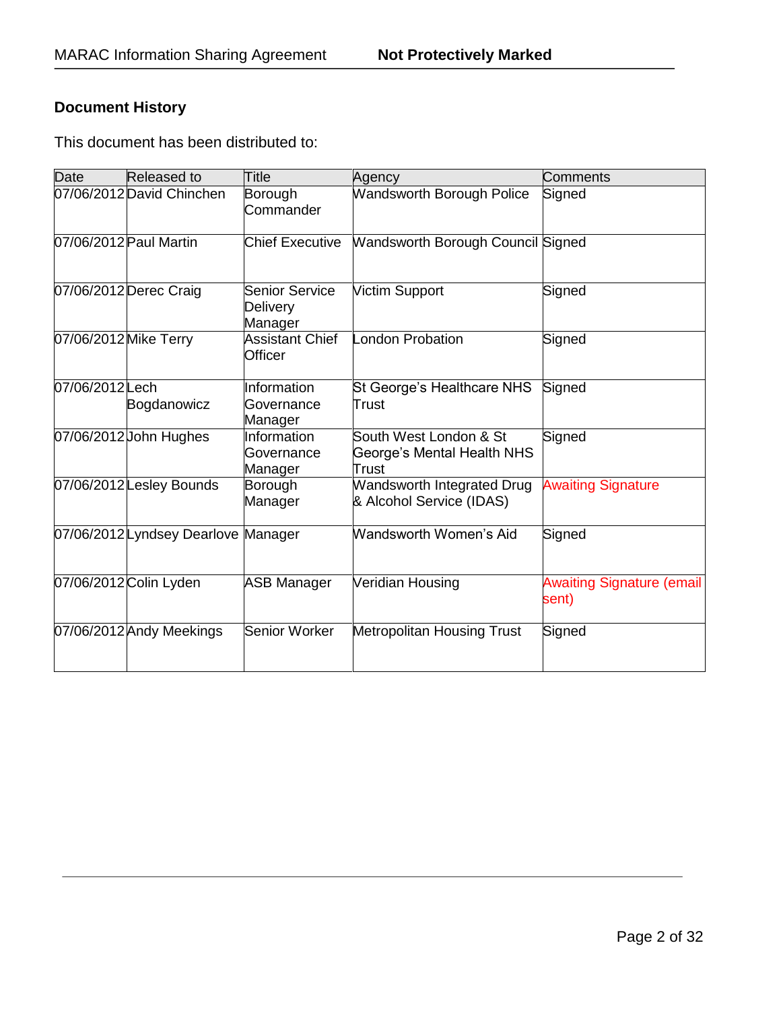# **Document History**

This document has been distributed to:

| Date                   | Released to                         | Title                                 | Agency                                                        | <b>Comments</b>                           |
|------------------------|-------------------------------------|---------------------------------------|---------------------------------------------------------------|-------------------------------------------|
|                        | 07/06/2012 David Chinchen           | Borough<br>Commander                  | <b>Wandsworth Borough Police</b>                              | Signed                                    |
| 07/06/2012 Paul Martin |                                     | <b>Chief Executive</b>                | <b>Wandsworth Borough Council Signed</b>                      |                                           |
|                        | 07/06/2012 Derec Craig              | Senior Service<br>Delivery<br>Manager | <b>Victim Support</b>                                         | Signed                                    |
| 07/06/2012 Mike Terry  |                                     | <b>Assistant Chief</b><br>Officer     | London Probation                                              | Signed                                    |
| 07/06/2012 Lech        | Bogdanowicz                         | Information<br>Governance<br>Manager  | St George's Healthcare NHS<br>Trust                           | Signed                                    |
|                        | 07/06/2012 John Hughes              | Information<br>Governance<br>Manager  | South West London & St<br>George's Mental Health NHS<br>Trust | Signed                                    |
|                        | 07/06/2012 Lesley Bounds            | Borough<br>Manager                    | Wandsworth Integrated Drug<br>& Alcohol Service (IDAS)        | <b>Awaiting Signature</b>                 |
|                        | 07/06/2012 Lyndsey Dearlove Manager |                                       | Wandsworth Women's Aid                                        | Signed                                    |
|                        | 07/06/2012 Colin Lyden              | <b>ASB Manager</b>                    | Veridian Housing                                              | <b>Awaiting Signature (email</b><br>sent) |
|                        | 07/06/2012 Andy Meekings            | Senior Worker                         | <b>Metropolitan Housing Trust</b>                             | Signed                                    |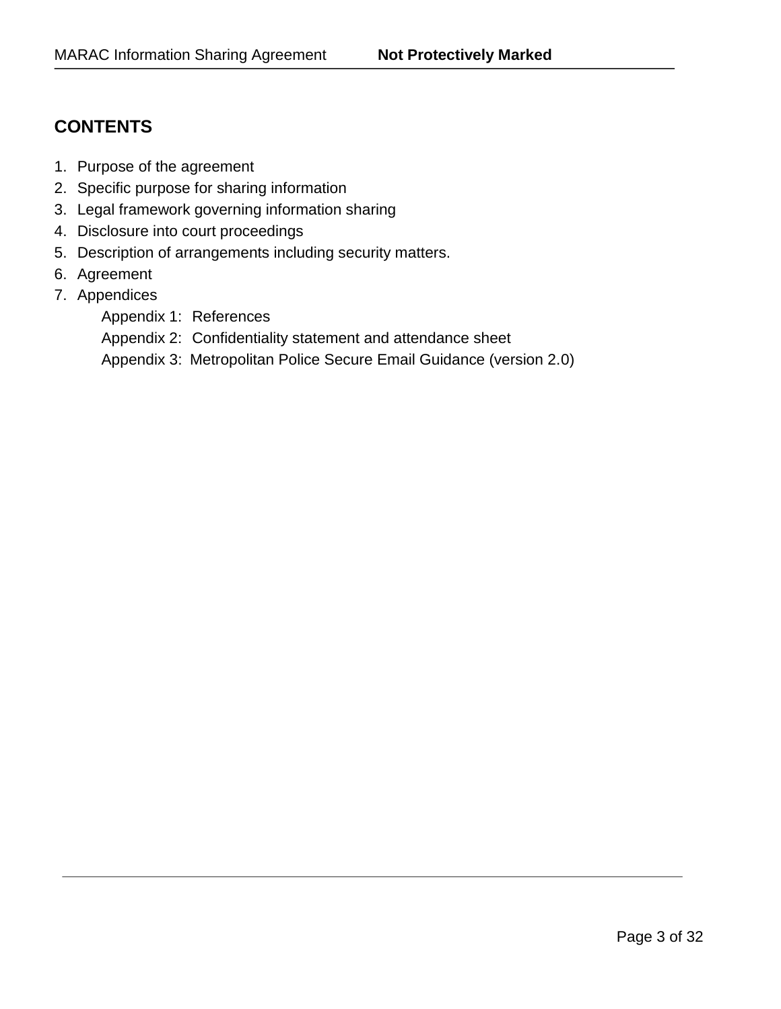# **CONTENTS**

- 1. Purpose of the agreement
- 2. Specific purpose for sharing information
- 3. Legal framework governing information sharing
- 4. Disclosure into court proceedings
- 5. Description of arrangements including security matters.
- 6. Agreement
- 7. Appendices
	- Appendix 1: References
	- Appendix 2: Confidentiality statement and attendance sheet
	- Appendix 3: Metropolitan Police Secure Email Guidance (version 2.0)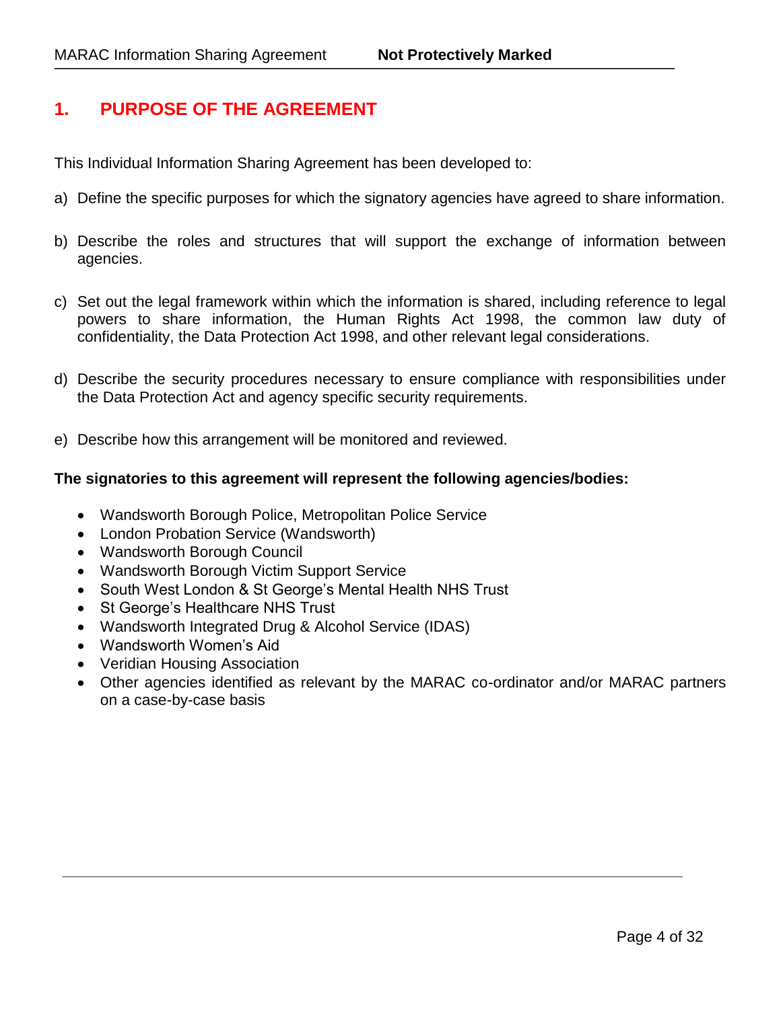# **1. PURPOSE OF THE AGREEMENT**

This Individual Information Sharing Agreement has been developed to:

- a) Define the specific purposes for which the signatory agencies have agreed to share information.
- b) Describe the roles and structures that will support the exchange of information between agencies.
- c) Set out the legal framework within which the information is shared, including reference to legal powers to share information, the Human Rights Act 1998, the common law duty of confidentiality, the Data Protection Act 1998, and other relevant legal considerations.
- d) Describe the security procedures necessary to ensure compliance with responsibilities under the Data Protection Act and agency specific security requirements.
- e) Describe how this arrangement will be monitored and reviewed.

#### **The signatories to this agreement will represent the following agencies/bodies:**

- Wandsworth Borough Police, Metropolitan Police Service
- London Probation Service (Wandsworth)
- Wandsworth Borough Council
- Wandsworth Borough Victim Support Service
- South West London & St George's Mental Health NHS Trust
- St George's Healthcare NHS Trust
- Wandsworth Integrated Drug & Alcohol Service (IDAS)
- Wandsworth Women's Aid
- Veridian Housing Association
- Other agencies identified as relevant by the MARAC co-ordinator and/or MARAC partners on a case-by-case basis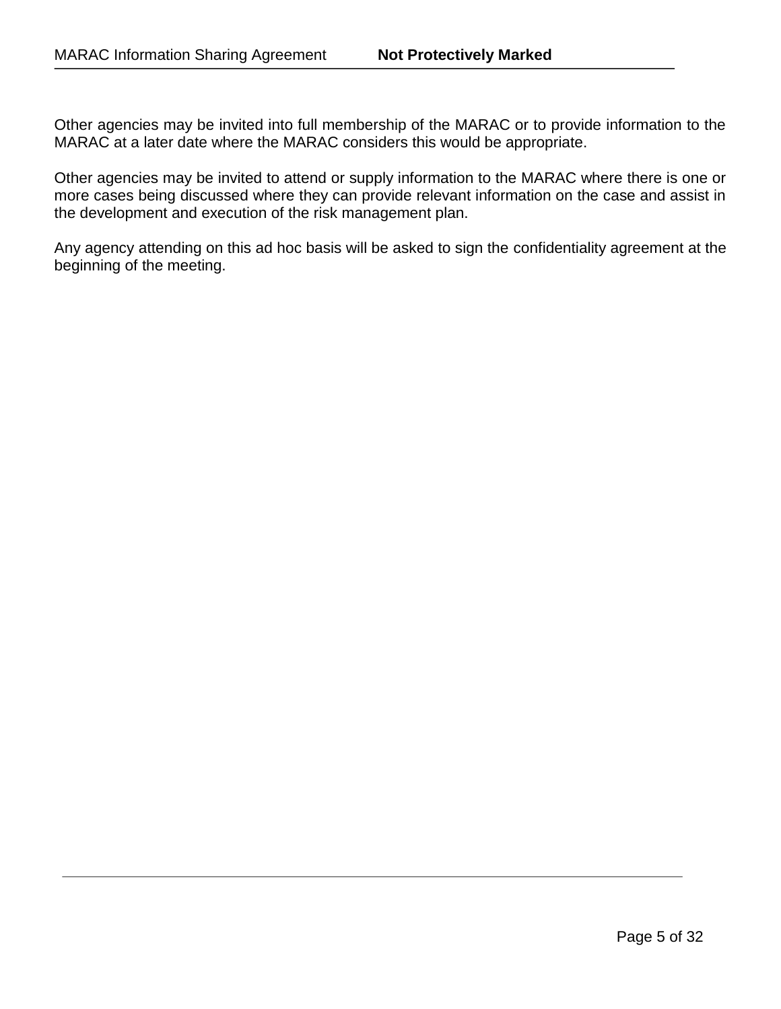Other agencies may be invited into full membership of the MARAC or to provide information to the MARAC at a later date where the MARAC considers this would be appropriate.

Other agencies may be invited to attend or supply information to the MARAC where there is one or more cases being discussed where they can provide relevant information on the case and assist in the development and execution of the risk management plan.

Any agency attending on this ad hoc basis will be asked to sign the confidentiality agreement at the beginning of the meeting.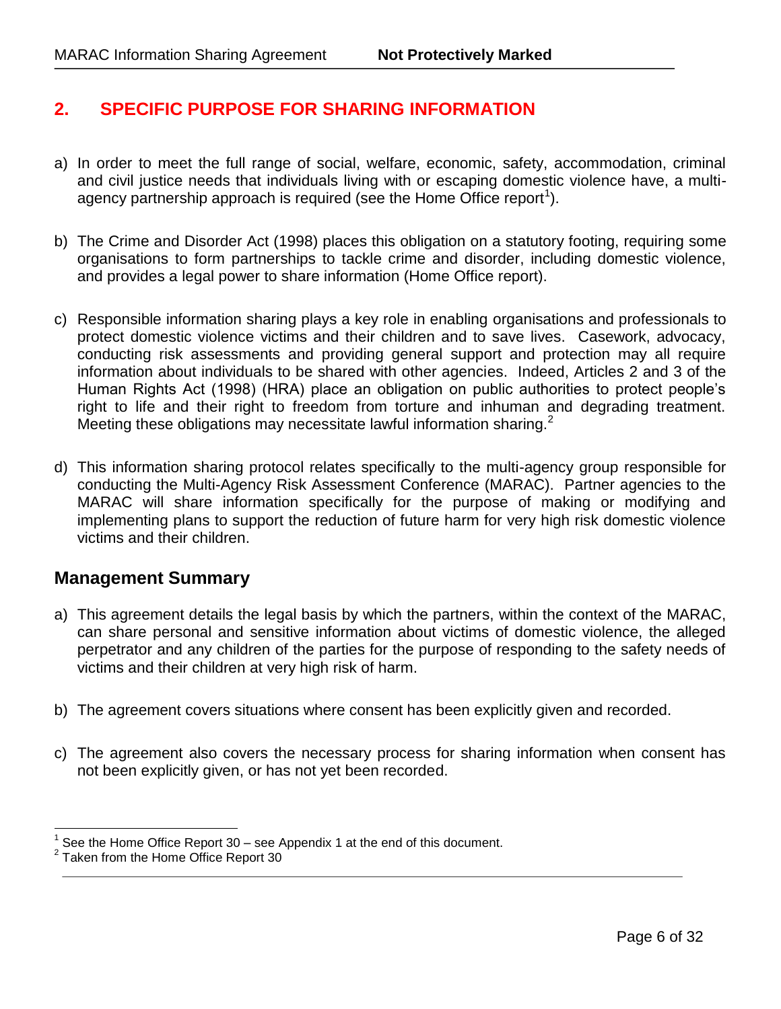# **2. SPECIFIC PURPOSE FOR SHARING INFORMATION**

- a) In order to meet the full range of social, welfare, economic, safety, accommodation, criminal and civil justice needs that individuals living with or escaping domestic violence have, a multiagency partnership approach is required (see the Home Office report<sup>1</sup>).
- b) The Crime and Disorder Act (1998) places this obligation on a statutory footing, requiring some organisations to form partnerships to tackle crime and disorder, including domestic violence, and provides a legal power to share information (Home Office report).
- c) Responsible information sharing plays a key role in enabling organisations and professionals to protect domestic violence victims and their children and to save lives. Casework, advocacy, conducting risk assessments and providing general support and protection may all require information about individuals to be shared with other agencies. Indeed, Articles 2 and 3 of the Human Rights Act (1998) (HRA) place an obligation on public authorities to protect people's right to life and their right to freedom from torture and inhuman and degrading treatment. Meeting these obligations may necessitate lawful information sharing. $2$
- d) This information sharing protocol relates specifically to the multi-agency group responsible for conducting the Multi-Agency Risk Assessment Conference (MARAC). Partner agencies to the MARAC will share information specifically for the purpose of making or modifying and implementing plans to support the reduction of future harm for very high risk domestic violence victims and their children.

# **Management Summary**

- a) This agreement details the legal basis by which the partners, within the context of the MARAC, can share personal and sensitive information about victims of domestic violence, the alleged perpetrator and any children of the parties for the purpose of responding to the safety needs of victims and their children at very high risk of harm.
- b) The agreement covers situations where consent has been explicitly given and recorded.
- c) The agreement also covers the necessary process for sharing information when consent has not been explicitly given, or has not yet been recorded.

<sup>1</sup> See the Home Office Report 30 – see Appendix 1 at the end of this document.

<sup>&</sup>lt;sup>2</sup> Taken from the Home Office Report 30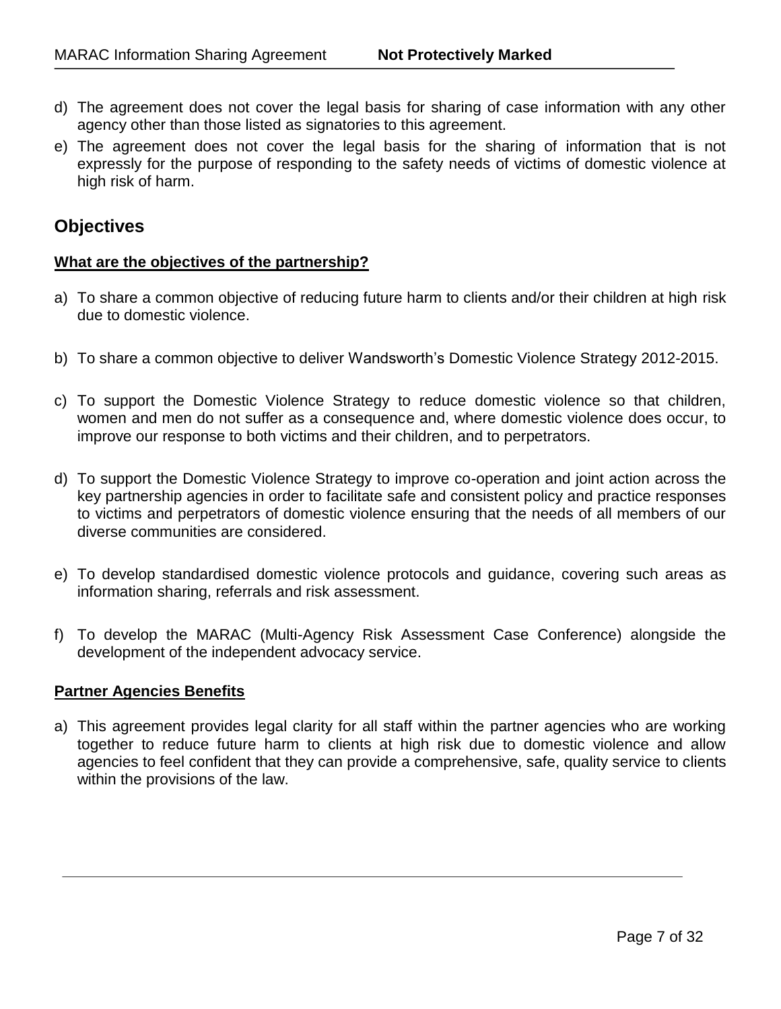- d) The agreement does not cover the legal basis for sharing of case information with any other agency other than those listed as signatories to this agreement.
- e) The agreement does not cover the legal basis for the sharing of information that is not expressly for the purpose of responding to the safety needs of victims of domestic violence at high risk of harm.

# **Objectives**

#### **What are the objectives of the partnership?**

- a) To share a common objective of reducing future harm to clients and/or their children at high risk due to domestic violence.
- b) To share a common objective to deliver Wandsworth's Domestic Violence Strategy 2012-2015.
- c) To support the Domestic Violence Strategy to reduce domestic violence so that children, women and men do not suffer as a consequence and, where domestic violence does occur, to improve our response to both victims and their children, and to perpetrators.
- d) To support the Domestic Violence Strategy to improve co-operation and joint action across the key partnership agencies in order to facilitate safe and consistent policy and practice responses to victims and perpetrators of domestic violence ensuring that the needs of all members of our diverse communities are considered.
- e) To develop standardised domestic violence protocols and guidance, covering such areas as information sharing, referrals and risk assessment.
- f) To develop the MARAC (Multi-Agency Risk Assessment Case Conference) alongside the development of the independent advocacy service.

#### **Partner Agencies Benefits**

a) This agreement provides legal clarity for all staff within the partner agencies who are working together to reduce future harm to clients at high risk due to domestic violence and allow agencies to feel confident that they can provide a comprehensive, safe, quality service to clients within the provisions of the law.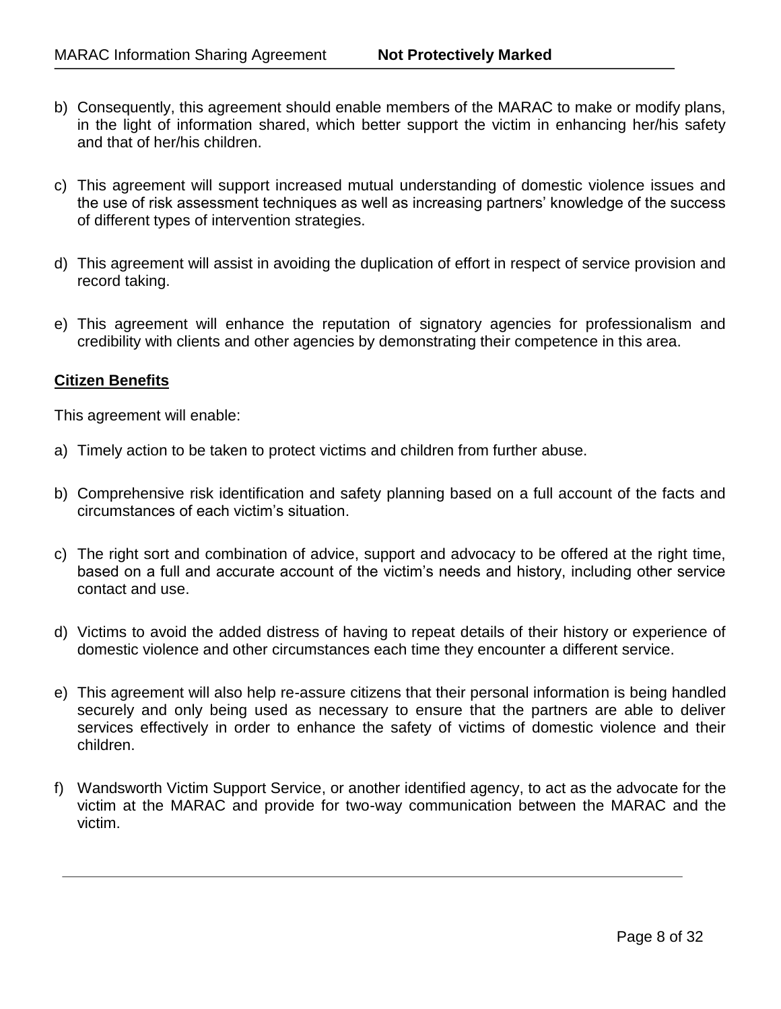- b) Consequently, this agreement should enable members of the MARAC to make or modify plans, in the light of information shared, which better support the victim in enhancing her/his safety and that of her/his children.
- c) This agreement will support increased mutual understanding of domestic violence issues and the use of risk assessment techniques as well as increasing partners' knowledge of the success of different types of intervention strategies.
- d) This agreement will assist in avoiding the duplication of effort in respect of service provision and record taking.
- e) This agreement will enhance the reputation of signatory agencies for professionalism and credibility with clients and other agencies by demonstrating their competence in this area.

#### **Citizen Benefits**

This agreement will enable:

- a) Timely action to be taken to protect victims and children from further abuse.
- b) Comprehensive risk identification and safety planning based on a full account of the facts and circumstances of each victim's situation.
- c) The right sort and combination of advice, support and advocacy to be offered at the right time, based on a full and accurate account of the victim's needs and history, including other service contact and use.
- d) Victims to avoid the added distress of having to repeat details of their history or experience of domestic violence and other circumstances each time they encounter a different service.
- e) This agreement will also help re-assure citizens that their personal information is being handled securely and only being used as necessary to ensure that the partners are able to deliver services effectively in order to enhance the safety of victims of domestic violence and their children.
- f) Wandsworth Victim Support Service, or another identified agency, to act as the advocate for the victim at the MARAC and provide for two-way communication between the MARAC and the victim.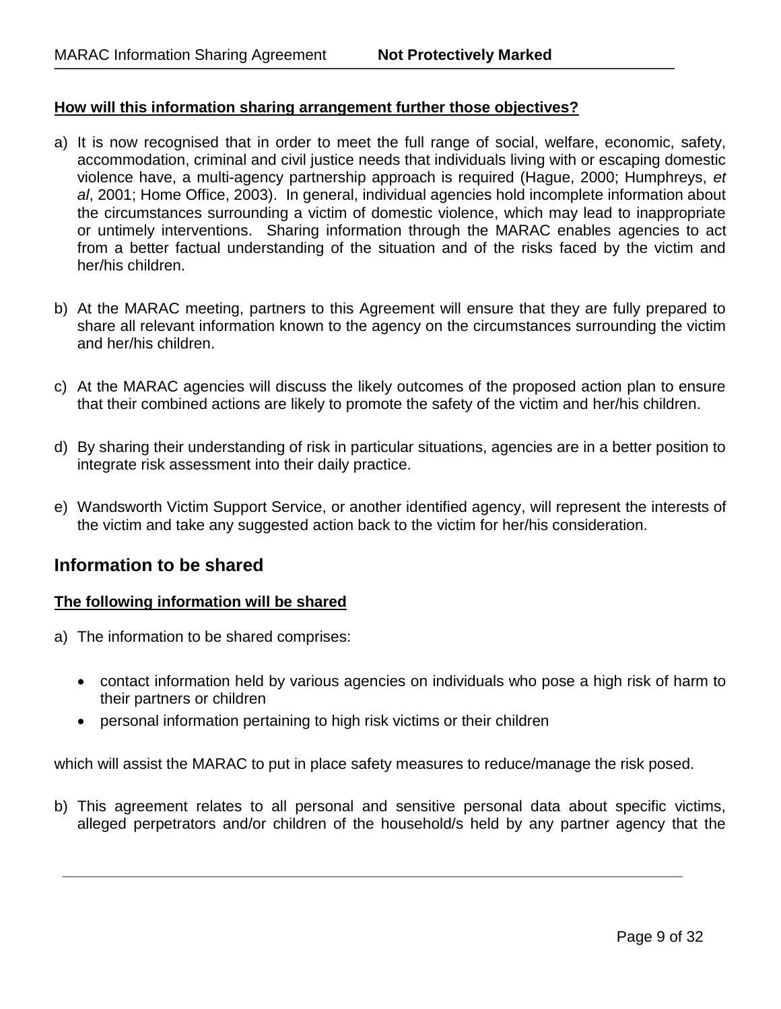#### **How will this information sharing arrangement further those objectives?**

- a) It is now recognised that in order to meet the full range of social, welfare, economic, safety, accommodation, criminal and civil justice needs that individuals living with or escaping domestic violence have, a multi-agency partnership approach is required (Hague, 2000; Humphreys, *et al*, 2001; Home Office, 2003). In general, individual agencies hold incomplete information about the circumstances surrounding a victim of domestic violence, which may lead to inappropriate or untimely interventions. Sharing information through the MARAC enables agencies to act from a better factual understanding of the situation and of the risks faced by the victim and her/his children.
- b) At the MARAC meeting, partners to this Agreement will ensure that they are fully prepared to share all relevant information known to the agency on the circumstances surrounding the victim and her/his children.
- c) At the MARAC agencies will discuss the likely outcomes of the proposed action plan to ensure that their combined actions are likely to promote the safety of the victim and her/his children.
- d) By sharing their understanding of risk in particular situations, agencies are in a better position to integrate risk assessment into their daily practice.
- e) Wandsworth Victim Support Service, or another identified agency, will represent the interests of the victim and take any suggested action back to the victim for her/his consideration.

## **Information to be shared**

#### **The following information will be shared**

- a) The information to be shared comprises:
	- contact information held by various agencies on individuals who pose a high risk of harm to their partners or children
	- personal information pertaining to high risk victims or their children

which will assist the MARAC to put in place safety measures to reduce/manage the risk posed.

b) This agreement relates to all personal and sensitive personal data about specific victims, alleged perpetrators and/or children of the household/s held by any partner agency that the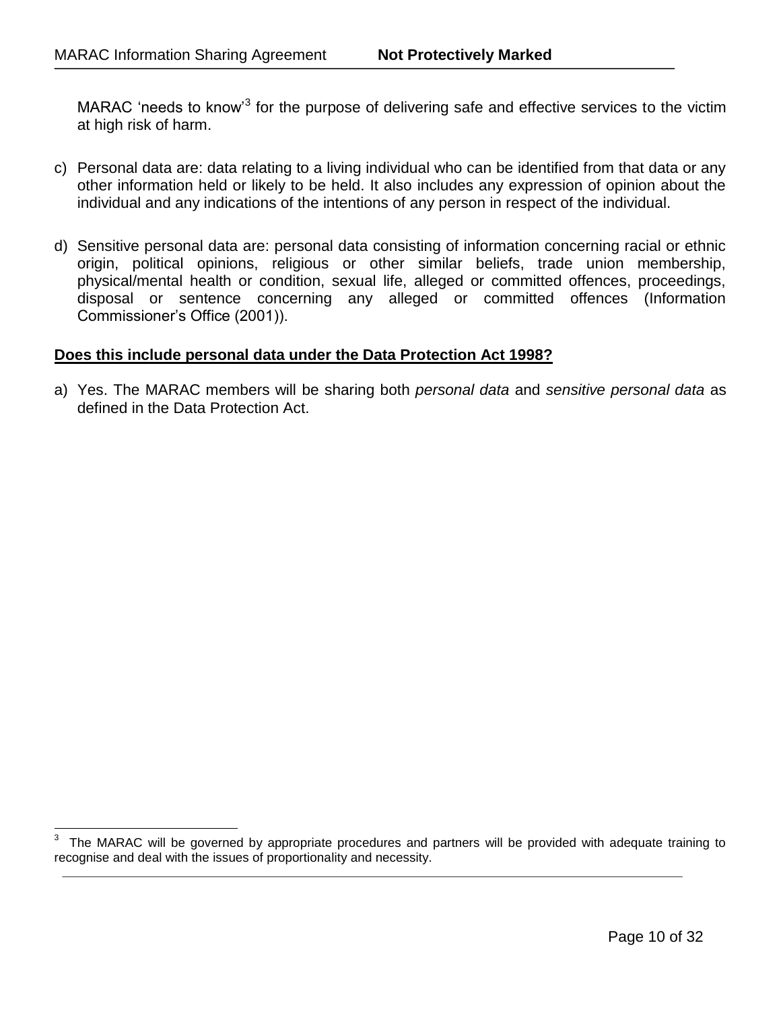MARAC 'needs to know<sup>3</sup> for the purpose of delivering safe and effective services to the victim at high risk of harm.

- c) Personal data are: data relating to a living individual who can be identified from that data or any other information held or likely to be held. It also includes any expression of opinion about the individual and any indications of the intentions of any person in respect of the individual.
- d) Sensitive personal data are: personal data consisting of information concerning racial or ethnic origin, political opinions, religious or other similar beliefs, trade union membership, physical/mental health or condition, sexual life, alleged or committed offences, proceedings, disposal or sentence concerning any alleged or committed offences (Information Commissioner's Office (2001)).

#### **Does this include personal data under the Data Protection Act 1998?**

a) Yes. The MARAC members will be sharing both *personal data* and *sensitive personal data* as defined in the Data Protection Act.

<sup>-&</sup>lt;br>3 The MARAC will be governed by appropriate procedures and partners will be provided with adequate training to recognise and deal with the issues of proportionality and necessity.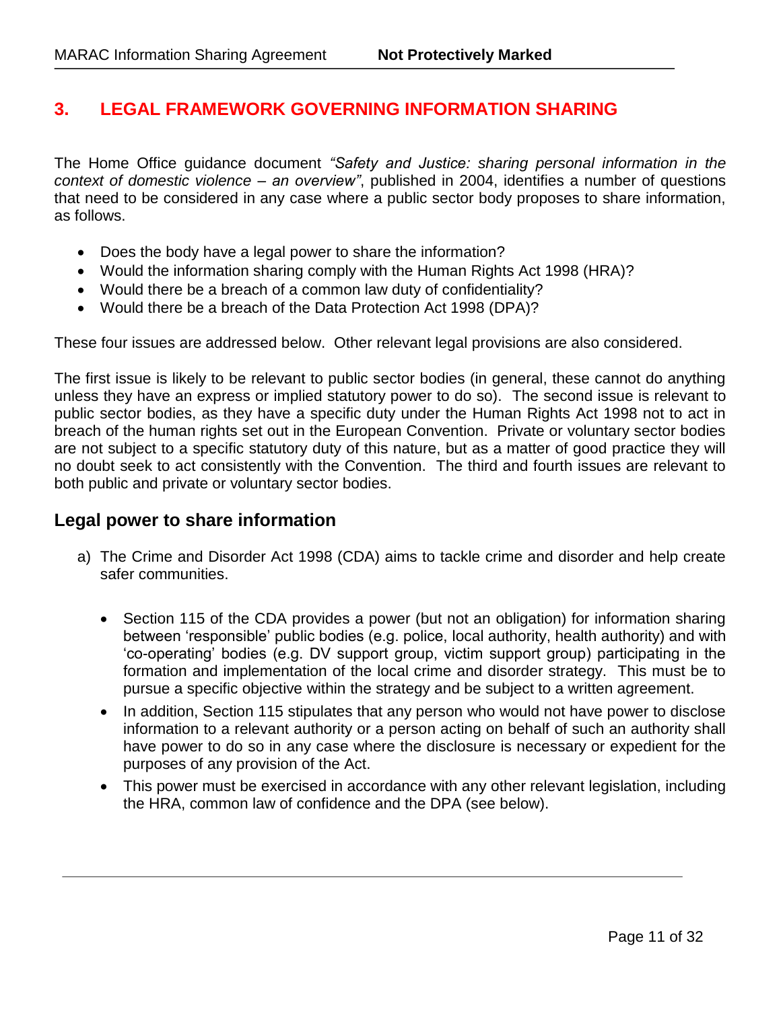# **3. LEGAL FRAMEWORK GOVERNING INFORMATION SHARING**

The Home Office guidance document *"Safety and Justice: sharing personal information in the context of domestic violence – an overview"*, published in 2004, identifies a number of questions that need to be considered in any case where a public sector body proposes to share information, as follows.

- Does the body have a legal power to share the information?
- Would the information sharing comply with the Human Rights Act 1998 (HRA)?
- Would there be a breach of a common law duty of confidentiality?
- Would there be a breach of the Data Protection Act 1998 (DPA)?

These four issues are addressed below. Other relevant legal provisions are also considered.

The first issue is likely to be relevant to public sector bodies (in general, these cannot do anything unless they have an express or implied statutory power to do so). The second issue is relevant to public sector bodies, as they have a specific duty under the Human Rights Act 1998 not to act in breach of the human rights set out in the European Convention. Private or voluntary sector bodies are not subject to a specific statutory duty of this nature, but as a matter of good practice they will no doubt seek to act consistently with the Convention. The third and fourth issues are relevant to both public and private or voluntary sector bodies.

# **Legal power to share information**

- a) The Crime and Disorder Act 1998 (CDA) aims to tackle crime and disorder and help create safer communities.
	- Section 115 of the CDA provides a power (but not an obligation) for information sharing between 'responsible' public bodies (e.g. police, local authority, health authority) and with 'co-operating' bodies (e.g. DV support group, victim support group) participating in the formation and implementation of the local crime and disorder strategy. This must be to pursue a specific objective within the strategy and be subject to a written agreement.
	- In addition, Section 115 stipulates that any person who would not have power to disclose information to a relevant authority or a person acting on behalf of such an authority shall have power to do so in any case where the disclosure is necessary or expedient for the purposes of any provision of the Act.
	- This power must be exercised in accordance with any other relevant legislation, including the HRA, common law of confidence and the DPA (see below).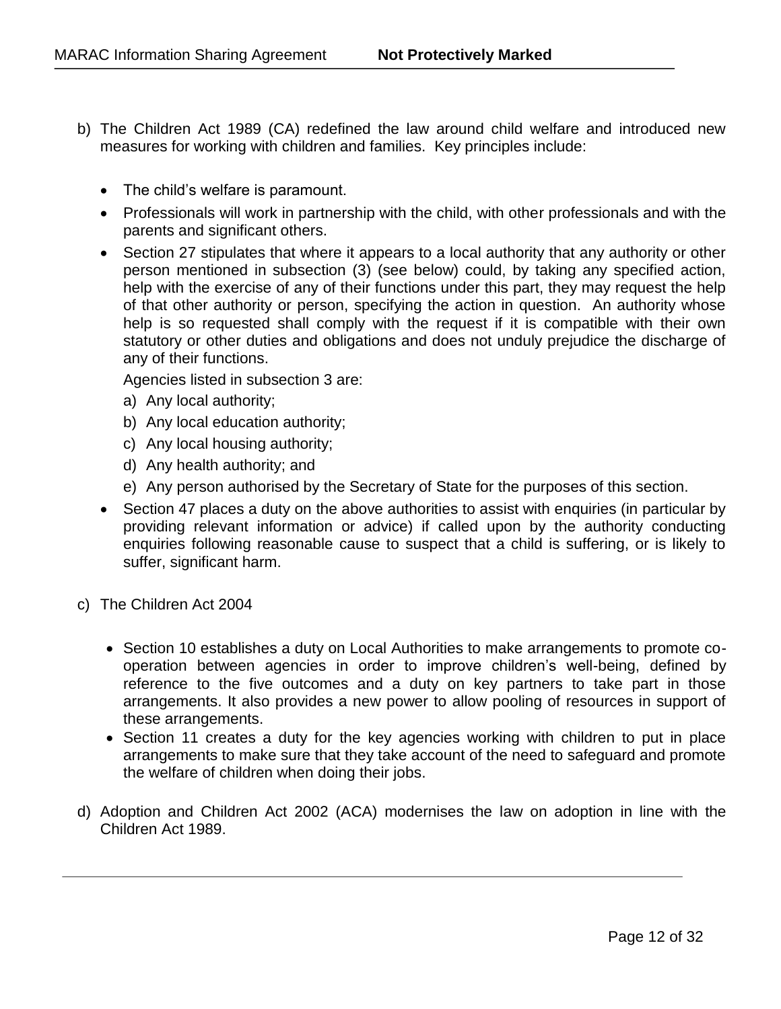- b) The Children Act 1989 (CA) redefined the law around child welfare and introduced new measures for working with children and families. Key principles include:
	- The child's welfare is paramount.
	- Professionals will work in partnership with the child, with other professionals and with the parents and significant others.
	- Section 27 stipulates that where it appears to a local authority that any authority or other person mentioned in subsection (3) (see below) could, by taking any specified action, help with the exercise of any of their functions under this part, they may request the help of that other authority or person, specifying the action in question. An authority whose help is so requested shall comply with the request if it is compatible with their own statutory or other duties and obligations and does not unduly prejudice the discharge of any of their functions.

Agencies listed in subsection 3 are:

- a) Any local authority;
- b) Any local education authority;
- c) Any local housing authority;
- d) Any health authority; and
- e) Any person authorised by the Secretary of State for the purposes of this section.
- Section 47 places a duty on the above authorities to assist with enquiries (in particular by providing relevant information or advice) if called upon by the authority conducting enquiries following reasonable cause to suspect that a child is suffering, or is likely to suffer, significant harm.
- c) The Children Act 2004
	- Section 10 establishes a duty on Local Authorities to make arrangements to promote cooperation between agencies in order to improve children's well-being, defined by reference to the five outcomes and a duty on key partners to take part in those arrangements. It also provides a new power to allow pooling of resources in support of these arrangements.
	- Section 11 creates a duty for the key agencies working with children to put in place arrangements to make sure that they take account of the need to safeguard and promote the welfare of children when doing their jobs.
- d) Adoption and Children Act 2002 (ACA) modernises the law on adoption in line with the Children Act 1989.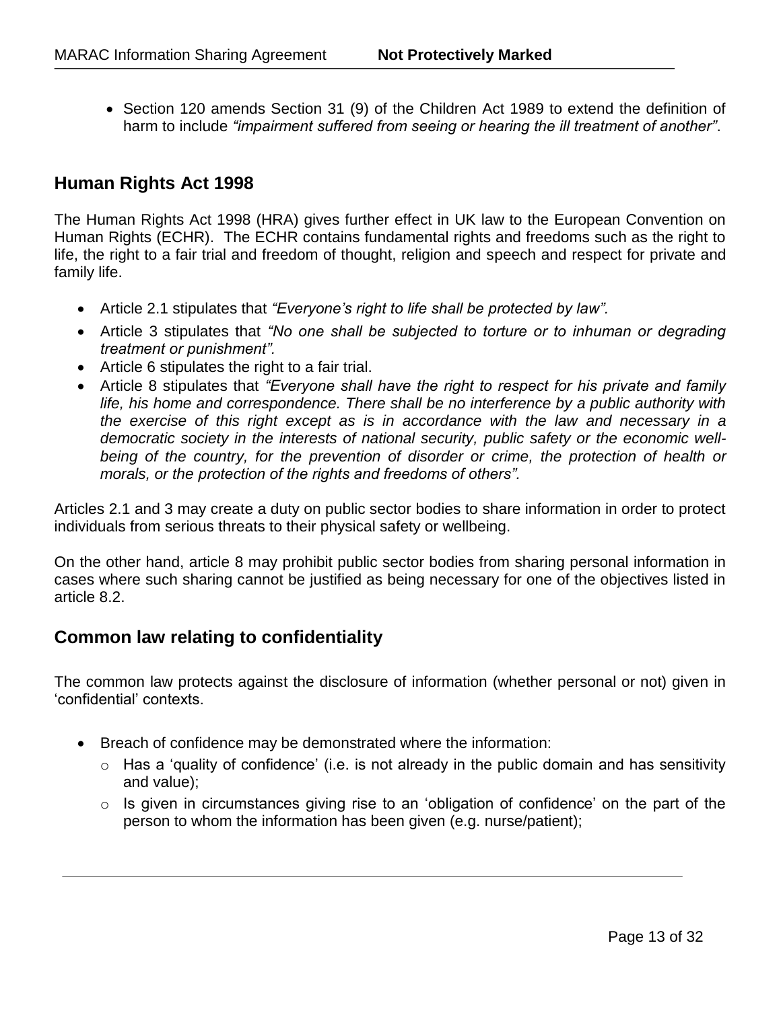Section 120 amends Section 31 (9) of the Children Act 1989 to extend the definition of harm to include *"impairment suffered from seeing or hearing the ill treatment of another"*.

# **Human Rights Act 1998**

The Human Rights Act 1998 (HRA) gives further effect in UK law to the European Convention on Human Rights (ECHR). The ECHR contains fundamental rights and freedoms such as the right to life, the right to a fair trial and freedom of thought, religion and speech and respect for private and family life.

- Article 2.1 stipulates that *"Everyone's right to life shall be protected by law".*
- Article 3 stipulates that *"No one shall be subjected to torture or to inhuman or degrading treatment or punishment".*
- Article 6 stipulates the right to a fair trial.
- Article 8 stipulates that *"Everyone shall have the right to respect for his private and family life, his home and correspondence. There shall be no interference by a public authority with the exercise of this right except as is in accordance with the law and necessary in a democratic society in the interests of national security, public safety or the economic wellbeing of the country, for the prevention of disorder or crime, the protection of health or morals, or the protection of the rights and freedoms of others".*

Articles 2.1 and 3 may create a duty on public sector bodies to share information in order to protect individuals from serious threats to their physical safety or wellbeing.

On the other hand, article 8 may prohibit public sector bodies from sharing personal information in cases where such sharing cannot be justified as being necessary for one of the objectives listed in article 8.2.

# **Common law relating to confidentiality**

The common law protects against the disclosure of information (whether personal or not) given in 'confidential' contexts.

- Breach of confidence may be demonstrated where the information:
	- $\circ$  Has a 'quality of confidence' (i.e. is not already in the public domain and has sensitivity and value);
	- $\circ$  Is given in circumstances giving rise to an 'obligation of confidence' on the part of the person to whom the information has been given (e.g. nurse/patient);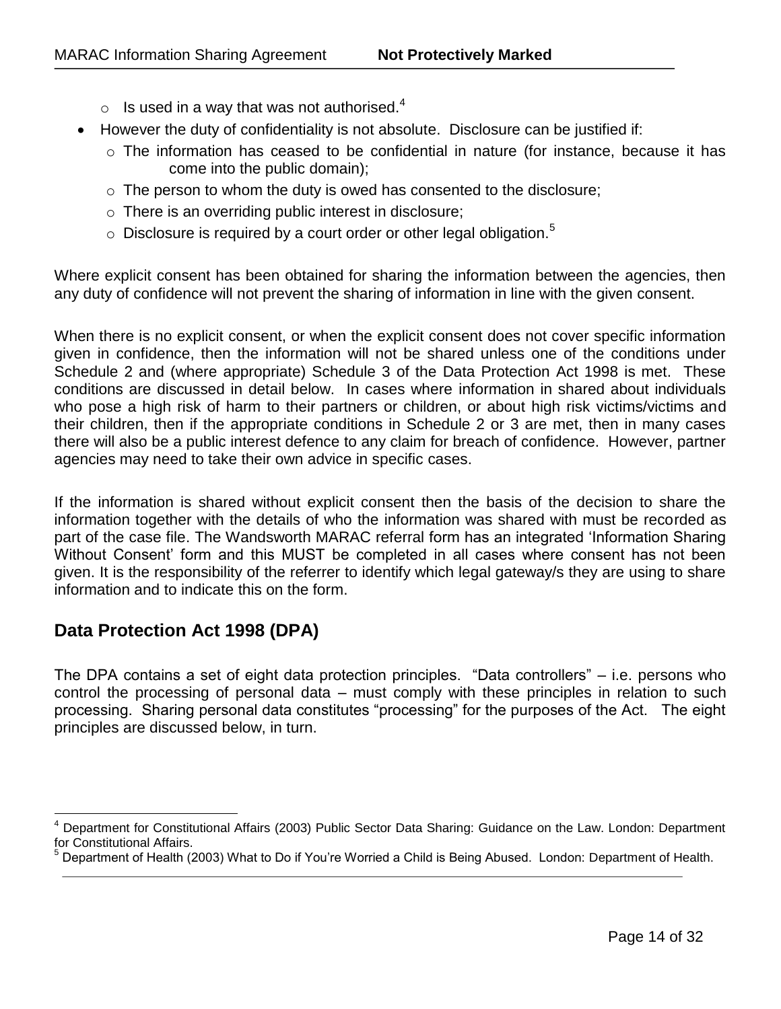- $\circ$  Is used in a way that was not authorised.<sup>4</sup>
- However the duty of confidentiality is not absolute. Disclosure can be justified if:
	- o The information has ceased to be confidential in nature (for instance, because it has come into the public domain);
	- $\circ$  The person to whom the duty is owed has consented to the disclosure;
	- o There is an overriding public interest in disclosure;
	- $\circ$  Disclosure is required by a court order or other legal obligation.<sup>5</sup>

Where explicit consent has been obtained for sharing the information between the agencies, then any duty of confidence will not prevent the sharing of information in line with the given consent.

When there is no explicit consent, or when the explicit consent does not cover specific information given in confidence, then the information will not be shared unless one of the conditions under Schedule 2 and (where appropriate) Schedule 3 of the Data Protection Act 1998 is met. These conditions are discussed in detail below. In cases where information in shared about individuals who pose a high risk of harm to their partners or children, or about high risk victims/victims and their children, then if the appropriate conditions in Schedule 2 or 3 are met, then in many cases there will also be a public interest defence to any claim for breach of confidence. However, partner agencies may need to take their own advice in specific cases.

If the information is shared without explicit consent then the basis of the decision to share the information together with the details of who the information was shared with must be recorded as part of the case file. The Wandsworth MARAC referral form has an integrated 'Information Sharing Without Consent' form and this MUST be completed in all cases where consent has not been given. It is the responsibility of the referrer to identify which legal gateway/s they are using to share information and to indicate this on the form.

# **Data Protection Act 1998 (DPA)**

The DPA contains a set of eight data protection principles. "Data controllers" – i.e. persons who control the processing of personal data – must comply with these principles in relation to such processing. Sharing personal data constitutes "processing" for the purposes of the Act. The eight principles are discussed below, in turn.

<sup>4</sup> Department for Constitutional Affairs (2003) Public Sector Data Sharing: Guidance on the Law. London: Department for Constitutional Affairs.

<sup>5</sup> Department of Health (2003) What to Do if You're Worried a Child is Being Abused. London: Department of Health.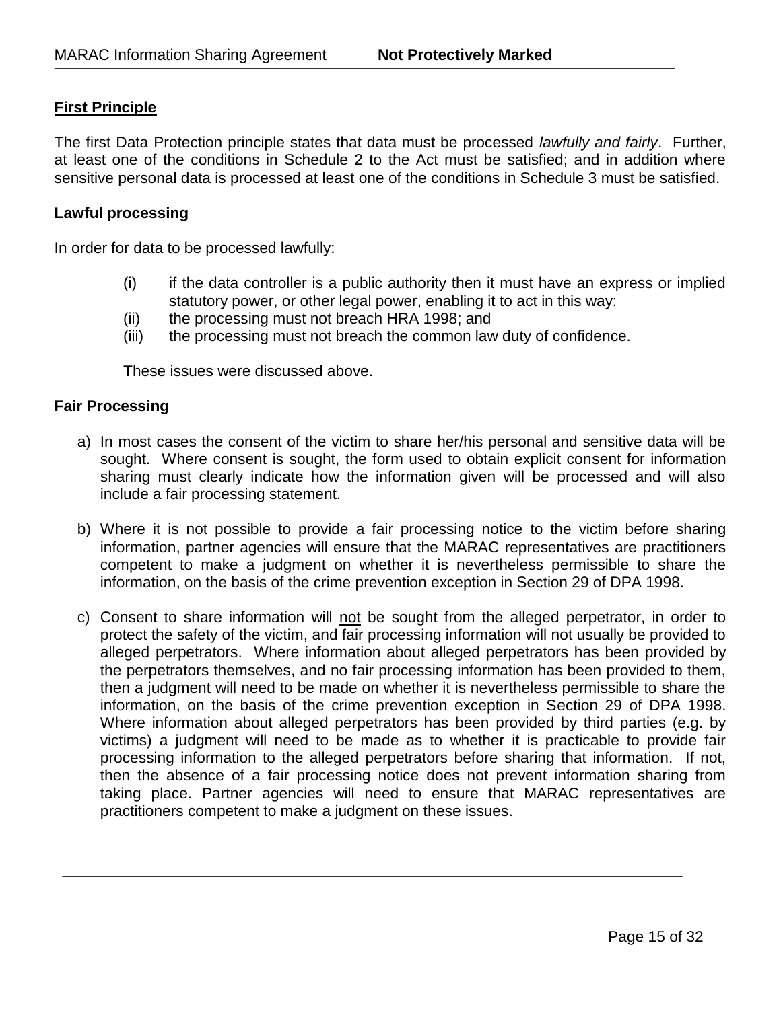## **First Principle**

The first Data Protection principle states that data must be processed *lawfully and fairly*. Further, at least one of the conditions in Schedule 2 to the Act must be satisfied; and in addition where sensitive personal data is processed at least one of the conditions in Schedule 3 must be satisfied.

#### **Lawful processing**

In order for data to be processed lawfully:

- (i) if the data controller is a public authority then it must have an express or implied statutory power, or other legal power, enabling it to act in this way:
- (ii) the processing must not breach HRA 1998; and
- (iii) the processing must not breach the common law duty of confidence.

These issues were discussed above.

#### **Fair Processing**

- a) In most cases the consent of the victim to share her/his personal and sensitive data will be sought. Where consent is sought, the form used to obtain explicit consent for information sharing must clearly indicate how the information given will be processed and will also include a fair processing statement.
- b) Where it is not possible to provide a fair processing notice to the victim before sharing information, partner agencies will ensure that the MARAC representatives are practitioners competent to make a judgment on whether it is nevertheless permissible to share the information, on the basis of the crime prevention exception in Section 29 of DPA 1998.
- c) Consent to share information will not be sought from the alleged perpetrator, in order to protect the safety of the victim, and fair processing information will not usually be provided to alleged perpetrators. Where information about alleged perpetrators has been provided by the perpetrators themselves, and no fair processing information has been provided to them, then a judgment will need to be made on whether it is nevertheless permissible to share the information, on the basis of the crime prevention exception in Section 29 of DPA 1998. Where information about alleged perpetrators has been provided by third parties (e.g. by victims) a judgment will need to be made as to whether it is practicable to provide fair processing information to the alleged perpetrators before sharing that information. If not, then the absence of a fair processing notice does not prevent information sharing from taking place. Partner agencies will need to ensure that MARAC representatives are practitioners competent to make a judgment on these issues.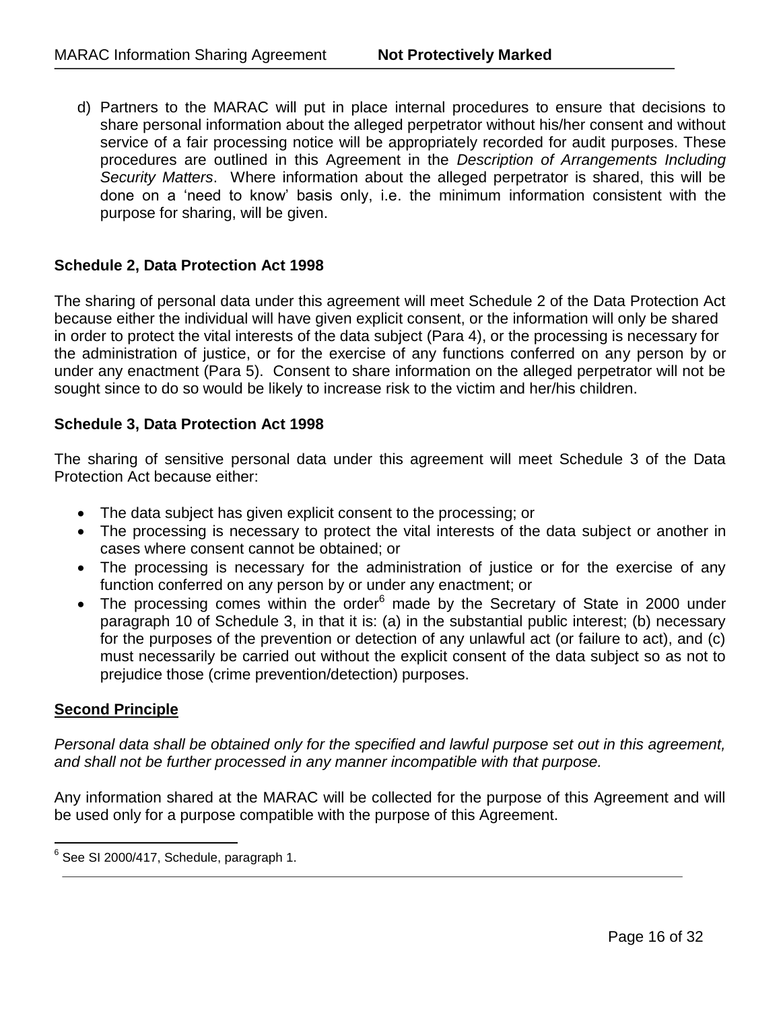d) Partners to the MARAC will put in place internal procedures to ensure that decisions to share personal information about the alleged perpetrator without his/her consent and without service of a fair processing notice will be appropriately recorded for audit purposes. These procedures are outlined in this Agreement in the *Description of Arrangements Including Security Matters*. Where information about the alleged perpetrator is shared, this will be done on a 'need to know' basis only, i.e. the minimum information consistent with the purpose for sharing, will be given.

## **Schedule 2, Data Protection Act 1998**

The sharing of personal data under this agreement will meet Schedule 2 of the Data Protection Act because either the individual will have given explicit consent, or the information will only be shared in order to protect the vital interests of the data subject (Para 4), or the processing is necessary for the administration of justice, or for the exercise of any functions conferred on any person by or under any enactment (Para 5). Consent to share information on the alleged perpetrator will not be sought since to do so would be likely to increase risk to the victim and her/his children.

#### **Schedule 3, Data Protection Act 1998**

The sharing of sensitive personal data under this agreement will meet Schedule 3 of the Data Protection Act because either:

- The data subject has given explicit consent to the processing; or
- The processing is necessary to protect the vital interests of the data subject or another in cases where consent cannot be obtained; or
- The processing is necessary for the administration of justice or for the exercise of any function conferred on any person by or under any enactment; or
- The processing comes within the order<sup>6</sup> made by the Secretary of State in 2000 under paragraph 10 of Schedule 3, in that it is: (a) in the substantial public interest; (b) necessary for the purposes of the prevention or detection of any unlawful act (or failure to act), and (c) must necessarily be carried out without the explicit consent of the data subject so as not to prejudice those (crime prevention/detection) purposes.

#### **Second Principle**

*Personal data shall be obtained only for the specified and lawful purpose set out in this agreement, and shall not be further processed in any manner incompatible with that purpose.* 

Any information shared at the MARAC will be collected for the purpose of this Agreement and will be used only for a purpose compatible with the purpose of this Agreement.

 6 See SI 2000/417, Schedule, paragraph 1.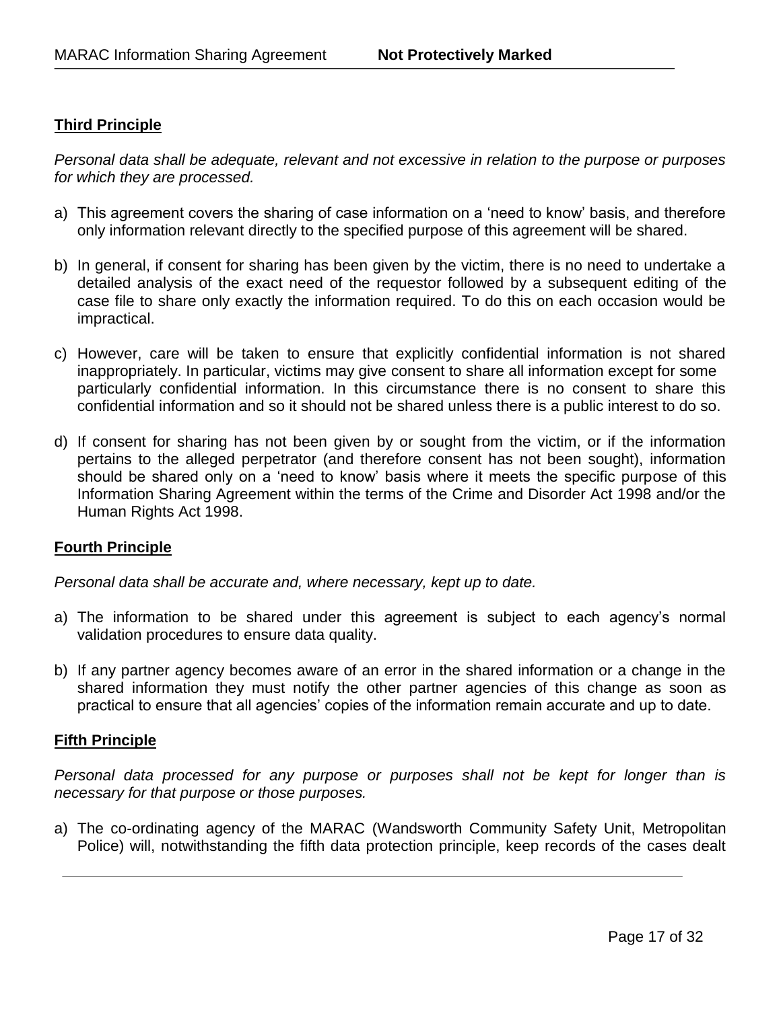# **Third Principle**

*Personal data shall be adequate, relevant and not excessive in relation to the purpose or purposes for which they are processed.*

- a) This agreement covers the sharing of case information on a 'need to know' basis, and therefore only information relevant directly to the specified purpose of this agreement will be shared.
- b) In general, if consent for sharing has been given by the victim, there is no need to undertake a detailed analysis of the exact need of the requestor followed by a subsequent editing of the case file to share only exactly the information required. To do this on each occasion would be impractical.
- c) However, care will be taken to ensure that explicitly confidential information is not shared inappropriately. In particular, victims may give consent to share all information except for some particularly confidential information. In this circumstance there is no consent to share this confidential information and so it should not be shared unless there is a public interest to do so.
- d) If consent for sharing has not been given by or sought from the victim, or if the information pertains to the alleged perpetrator (and therefore consent has not been sought), information should be shared only on a 'need to know' basis where it meets the specific purpose of this Information Sharing Agreement within the terms of the Crime and Disorder Act 1998 and/or the Human Rights Act 1998.

## **Fourth Principle**

*Personal data shall be accurate and, where necessary, kept up to date.*

- a) The information to be shared under this agreement is subject to each agency's normal validation procedures to ensure data quality.
- b) If any partner agency becomes aware of an error in the shared information or a change in the shared information they must notify the other partner agencies of this change as soon as practical to ensure that all agencies' copies of the information remain accurate and up to date.

#### **Fifth Principle**

*Personal data processed for any purpose or purposes shall not be kept for longer than is necessary for that purpose or those purposes.*

a) The co-ordinating agency of the MARAC (Wandsworth Community Safety Unit, Metropolitan Police) will, notwithstanding the fifth data protection principle, keep records of the cases dealt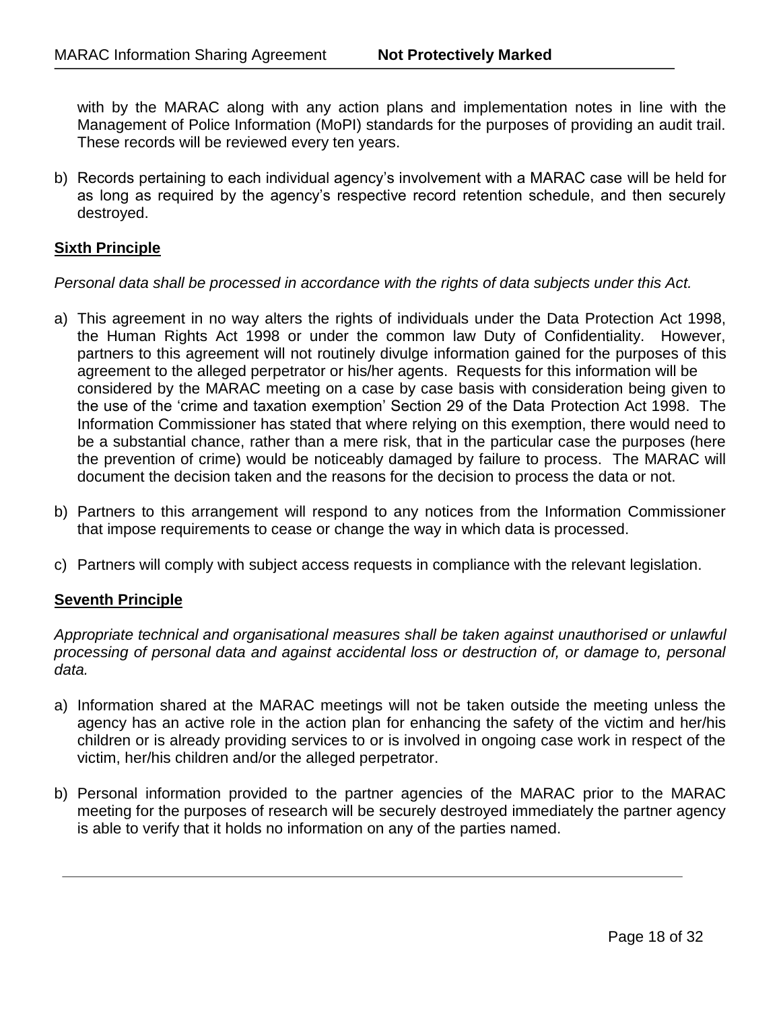with by the MARAC along with any action plans and implementation notes in line with the Management of Police Information (MoPI) standards for the purposes of providing an audit trail. These records will be reviewed every ten years.

b) Records pertaining to each individual agency's involvement with a MARAC case will be held for as long as required by the agency's respective record retention schedule, and then securely destroyed.

## **Sixth Principle**

#### *Personal data shall be processed in accordance with the rights of data subjects under this Act.*

- a) This agreement in no way alters the rights of individuals under the Data Protection Act 1998, the Human Rights Act 1998 or under the common law Duty of Confidentiality. However, partners to this agreement will not routinely divulge information gained for the purposes of this agreement to the alleged perpetrator or his/her agents. Requests for this information will be considered by the MARAC meeting on a case by case basis with consideration being given to the use of the 'crime and taxation exemption' Section 29 of the Data Protection Act 1998. The Information Commissioner has stated that where relying on this exemption, there would need to be a substantial chance, rather than a mere risk, that in the particular case the purposes (here the prevention of crime) would be noticeably damaged by failure to process. The MARAC will document the decision taken and the reasons for the decision to process the data or not.
- b) Partners to this arrangement will respond to any notices from the Information Commissioner that impose requirements to cease or change the way in which data is processed.
- c) Partners will comply with subject access requests in compliance with the relevant legislation.

#### **Seventh Principle**

*Appropriate technical and organisational measures shall be taken against unauthorised or unlawful processing of personal data and against accidental loss or destruction of, or damage to, personal data.*

- a) Information shared at the MARAC meetings will not be taken outside the meeting unless the agency has an active role in the action plan for enhancing the safety of the victim and her/his children or is already providing services to or is involved in ongoing case work in respect of the victim, her/his children and/or the alleged perpetrator.
- b) Personal information provided to the partner agencies of the MARAC prior to the MARAC meeting for the purposes of research will be securely destroyed immediately the partner agency is able to verify that it holds no information on any of the parties named.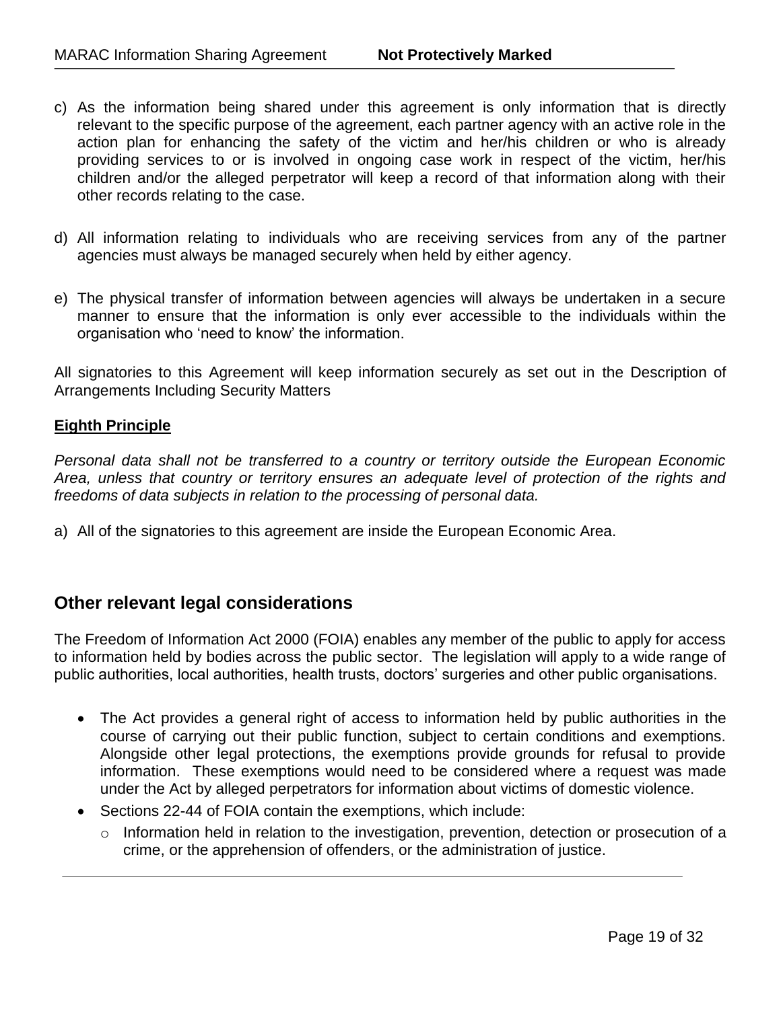- c) As the information being shared under this agreement is only information that is directly relevant to the specific purpose of the agreement, each partner agency with an active role in the action plan for enhancing the safety of the victim and her/his children or who is already providing services to or is involved in ongoing case work in respect of the victim, her/his children and/or the alleged perpetrator will keep a record of that information along with their other records relating to the case.
- d) All information relating to individuals who are receiving services from any of the partner agencies must always be managed securely when held by either agency.
- e) The physical transfer of information between agencies will always be undertaken in a secure manner to ensure that the information is only ever accessible to the individuals within the organisation who 'need to know' the information.

All signatories to this Agreement will keep information securely as set out in the Description of Arrangements Including Security Matters

# **Eighth Principle**

*Personal data shall not be transferred to a country or territory outside the European Economic Area, unless that country or territory ensures an adequate level of protection of the rights and freedoms of data subjects in relation to the processing of personal data.*

a) All of the signatories to this agreement are inside the European Economic Area.

# **Other relevant legal considerations**

The Freedom of Information Act 2000 (FOIA) enables any member of the public to apply for access to information held by bodies across the public sector. The legislation will apply to a wide range of public authorities, local authorities, health trusts, doctors' surgeries and other public organisations.

- The Act provides a general right of access to information held by public authorities in the course of carrying out their public function, subject to certain conditions and exemptions. Alongside other legal protections, the exemptions provide grounds for refusal to provide information. These exemptions would need to be considered where a request was made under the Act by alleged perpetrators for information about victims of domestic violence.
- Sections 22-44 of FOIA contain the exemptions, which include:
	- o Information held in relation to the investigation, prevention, detection or prosecution of a crime, or the apprehension of offenders, or the administration of justice.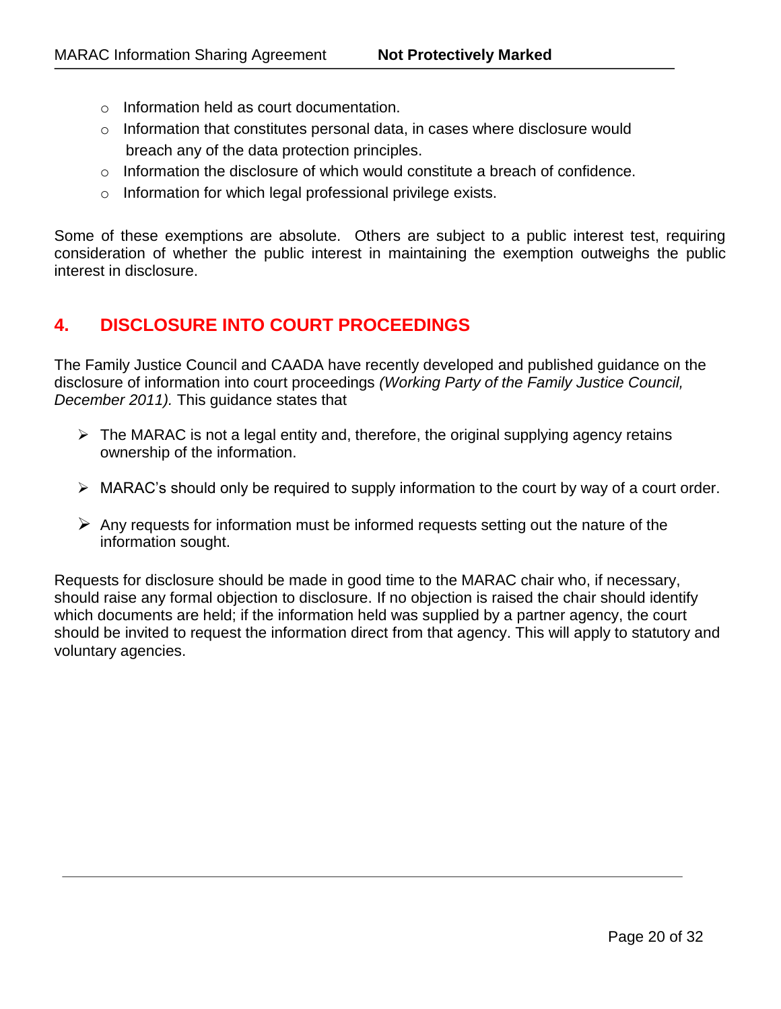- o Information held as court documentation.
- $\circ$  Information that constitutes personal data, in cases where disclosure would breach any of the data protection principles.
- $\circ$  Information the disclosure of which would constitute a breach of confidence.
- o Information for which legal professional privilege exists.

Some of these exemptions are absolute. Others are subject to a public interest test, requiring consideration of whether the public interest in maintaining the exemption outweighs the public interest in disclosure.

# **4. DISCLOSURE INTO COURT PROCEEDINGS**

The Family Justice Council and CAADA have recently developed and published guidance on the disclosure of information into court proceedings *(Working Party of the Family Justice Council, December 2011).* This guidance states that

- $\triangleright$  The MARAC is not a legal entity and, therefore, the original supplying agency retains ownership of the information.
- $\triangleright$  MARAC's should only be required to supply information to the court by way of a court order.
- $\triangleright$  Any requests for information must be informed requests setting out the nature of the information sought.

Requests for disclosure should be made in good time to the MARAC chair who, if necessary, should raise any formal objection to disclosure. If no objection is raised the chair should identify which documents are held; if the information held was supplied by a partner agency, the court should be invited to request the information direct from that agency. This will apply to statutory and voluntary agencies.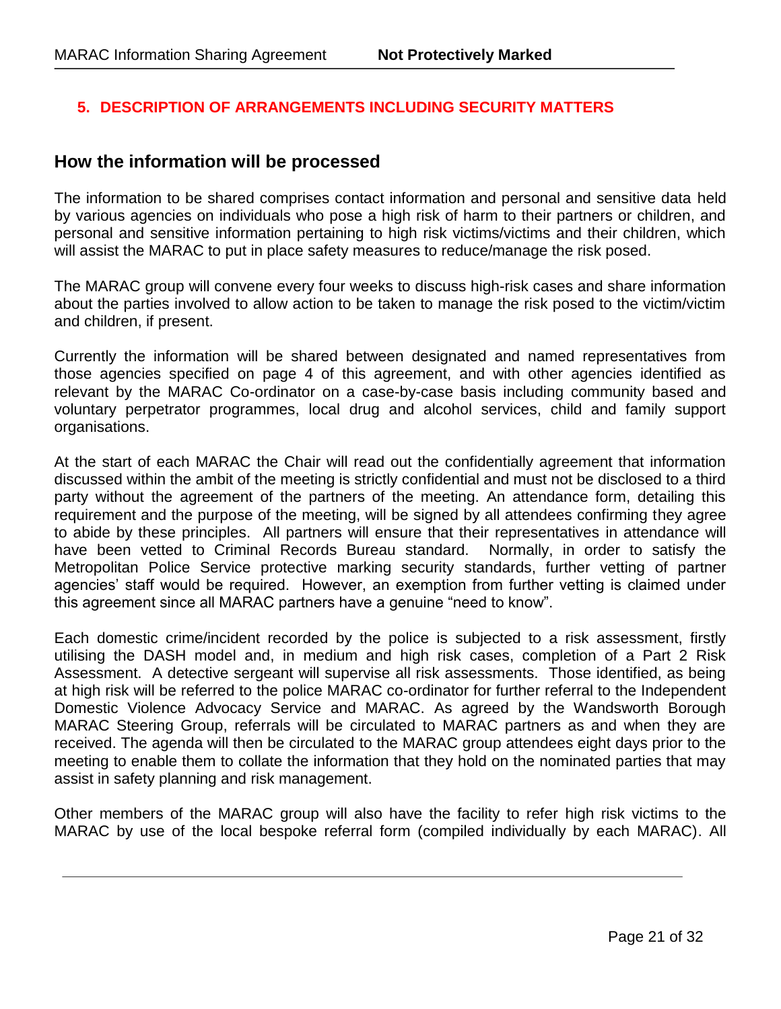# **5. DESCRIPTION OF ARRANGEMENTS INCLUDING SECURITY MATTERS**

# **How the information will be processed**

The information to be shared comprises contact information and personal and sensitive data held by various agencies on individuals who pose a high risk of harm to their partners or children, and personal and sensitive information pertaining to high risk victims/victims and their children, which will assist the MARAC to put in place safety measures to reduce/manage the risk posed.

The MARAC group will convene every four weeks to discuss high-risk cases and share information about the parties involved to allow action to be taken to manage the risk posed to the victim/victim and children, if present.

Currently the information will be shared between designated and named representatives from those agencies specified on page 4 of this agreement, and with other agencies identified as relevant by the MARAC Co-ordinator on a case-by-case basis including community based and voluntary perpetrator programmes, local drug and alcohol services, child and family support organisations.

At the start of each MARAC the Chair will read out the confidentially agreement that information discussed within the ambit of the meeting is strictly confidential and must not be disclosed to a third party without the agreement of the partners of the meeting. An attendance form, detailing this requirement and the purpose of the meeting, will be signed by all attendees confirming they agree to abide by these principles. All partners will ensure that their representatives in attendance will have been vetted to Criminal Records Bureau standard. Normally, in order to satisfy the Metropolitan Police Service protective marking security standards, further vetting of partner agencies' staff would be required. However, an exemption from further vetting is claimed under this agreement since all MARAC partners have a genuine "need to know".

Each domestic crime/incident recorded by the police is subjected to a risk assessment, firstly utilising the DASH model and, in medium and high risk cases, completion of a Part 2 Risk Assessment. A detective sergeant will supervise all risk assessments. Those identified, as being at high risk will be referred to the police MARAC co-ordinator for further referral to the Independent Domestic Violence Advocacy Service and MARAC. As agreed by the Wandsworth Borough MARAC Steering Group, referrals will be circulated to MARAC partners as and when they are received. The agenda will then be circulated to the MARAC group attendees eight days prior to the meeting to enable them to collate the information that they hold on the nominated parties that may assist in safety planning and risk management.

Other members of the MARAC group will also have the facility to refer high risk victims to the MARAC by use of the local bespoke referral form (compiled individually by each MARAC). All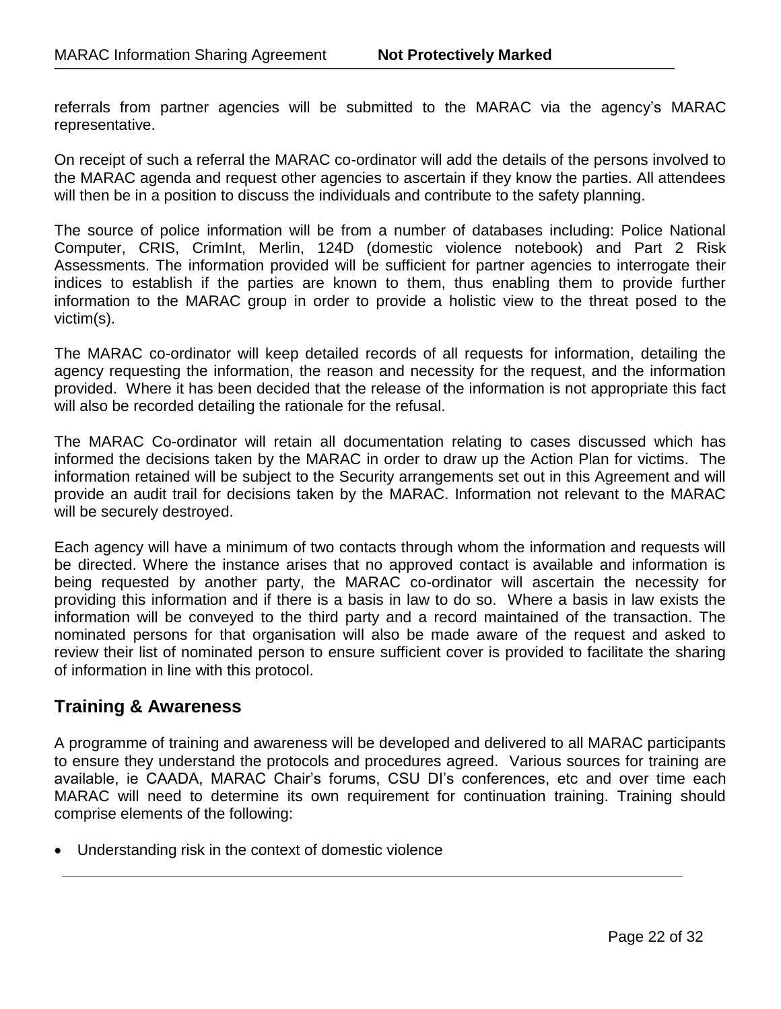referrals from partner agencies will be submitted to the MARAC via the agency's MARAC representative.

On receipt of such a referral the MARAC co-ordinator will add the details of the persons involved to the MARAC agenda and request other agencies to ascertain if they know the parties. All attendees will then be in a position to discuss the individuals and contribute to the safety planning.

The source of police information will be from a number of databases including: Police National Computer, CRIS, CrimInt, Merlin, 124D (domestic violence notebook) and Part 2 Risk Assessments. The information provided will be sufficient for partner agencies to interrogate their indices to establish if the parties are known to them, thus enabling them to provide further information to the MARAC group in order to provide a holistic view to the threat posed to the victim(s).

The MARAC co-ordinator will keep detailed records of all requests for information, detailing the agency requesting the information, the reason and necessity for the request, and the information provided. Where it has been decided that the release of the information is not appropriate this fact will also be recorded detailing the rationale for the refusal.

The MARAC Co-ordinator will retain all documentation relating to cases discussed which has informed the decisions taken by the MARAC in order to draw up the Action Plan for victims. The information retained will be subject to the Security arrangements set out in this Agreement and will provide an audit trail for decisions taken by the MARAC. Information not relevant to the MARAC will be securely destroyed.

Each agency will have a minimum of two contacts through whom the information and requests will be directed. Where the instance arises that no approved contact is available and information is being requested by another party, the MARAC co-ordinator will ascertain the necessity for providing this information and if there is a basis in law to do so. Where a basis in law exists the information will be conveyed to the third party and a record maintained of the transaction. The nominated persons for that organisation will also be made aware of the request and asked to review their list of nominated person to ensure sufficient cover is provided to facilitate the sharing of information in line with this protocol.

# **Training & Awareness**

A programme of training and awareness will be developed and delivered to all MARAC participants to ensure they understand the protocols and procedures agreed. Various sources for training are available, ie CAADA, MARAC Chair's forums, CSU DI's conferences, etc and over time each MARAC will need to determine its own requirement for continuation training. Training should comprise elements of the following:

Understanding risk in the context of domestic violence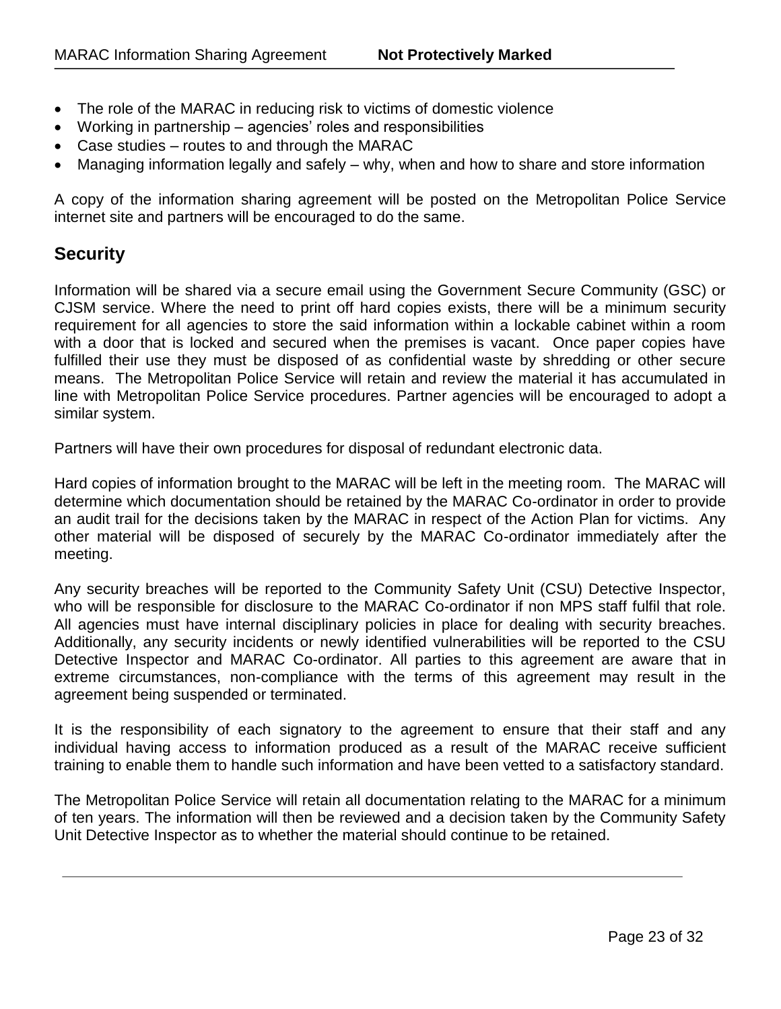- The role of the MARAC in reducing risk to victims of domestic violence
- Working in partnership agencies' roles and responsibilities
- Case studies routes to and through the MARAC
- Managing information legally and safely why, when and how to share and store information

A copy of the information sharing agreement will be posted on the Metropolitan Police Service internet site and partners will be encouraged to do the same.

# **Security**

Information will be shared via a secure email using the Government Secure Community (GSC) or CJSM service. Where the need to print off hard copies exists, there will be a minimum security requirement for all agencies to store the said information within a lockable cabinet within a room with a door that is locked and secured when the premises is vacant. Once paper copies have fulfilled their use they must be disposed of as confidential waste by shredding or other secure means. The Metropolitan Police Service will retain and review the material it has accumulated in line with Metropolitan Police Service procedures. Partner agencies will be encouraged to adopt a similar system.

Partners will have their own procedures for disposal of redundant electronic data.

Hard copies of information brought to the MARAC will be left in the meeting room. The MARAC will determine which documentation should be retained by the MARAC Co-ordinator in order to provide an audit trail for the decisions taken by the MARAC in respect of the Action Plan for victims. Any other material will be disposed of securely by the MARAC Co-ordinator immediately after the meeting.

Any security breaches will be reported to the Community Safety Unit (CSU) Detective Inspector, who will be responsible for disclosure to the MARAC Co-ordinator if non MPS staff fulfil that role. All agencies must have internal disciplinary policies in place for dealing with security breaches. Additionally, any security incidents or newly identified vulnerabilities will be reported to the CSU Detective Inspector and MARAC Co-ordinator. All parties to this agreement are aware that in extreme circumstances, non-compliance with the terms of this agreement may result in the agreement being suspended or terminated.

It is the responsibility of each signatory to the agreement to ensure that their staff and any individual having access to information produced as a result of the MARAC receive sufficient training to enable them to handle such information and have been vetted to a satisfactory standard.

The Metropolitan Police Service will retain all documentation relating to the MARAC for a minimum of ten years. The information will then be reviewed and a decision taken by the Community Safety Unit Detective Inspector as to whether the material should continue to be retained.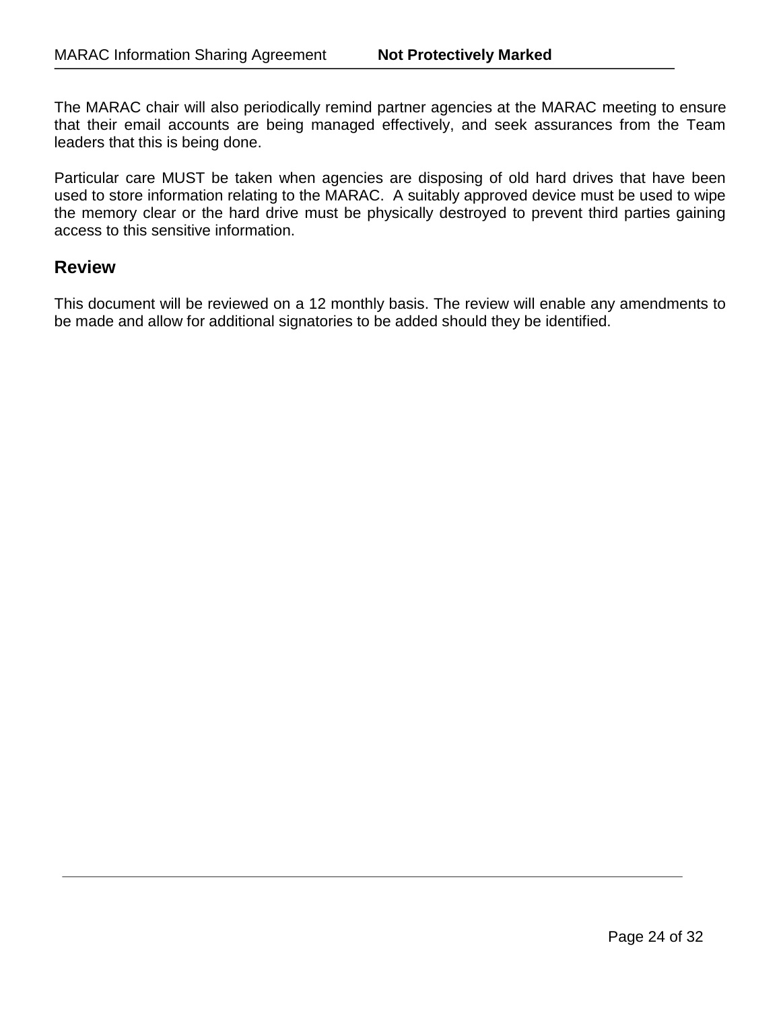The MARAC chair will also periodically remind partner agencies at the MARAC meeting to ensure that their email accounts are being managed effectively, and seek assurances from the Team leaders that this is being done.

Particular care MUST be taken when agencies are disposing of old hard drives that have been used to store information relating to the MARAC. A suitably approved device must be used to wipe the memory clear or the hard drive must be physically destroyed to prevent third parties gaining access to this sensitive information.

# **Review**

This document will be reviewed on a 12 monthly basis. The review will enable any amendments to be made and allow for additional signatories to be added should they be identified.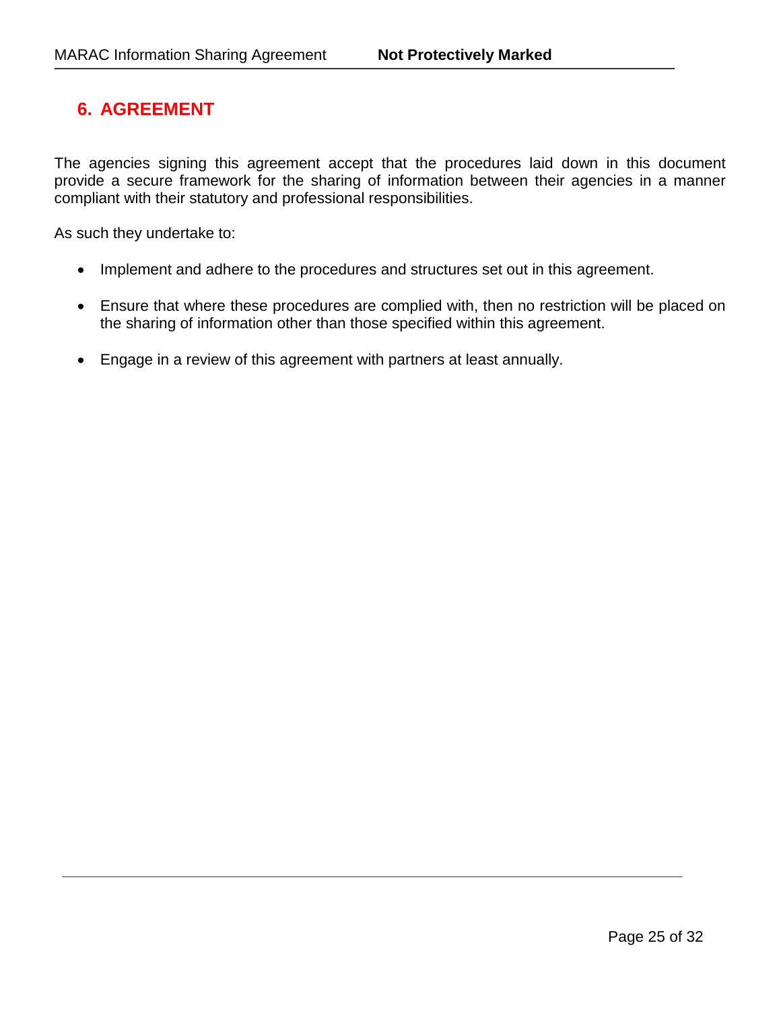# **6. AGREEMENT**

The agencies signing this agreement accept that the procedures laid down in this document provide a secure framework for the sharing of information between their agencies in a manner compliant with their statutory and professional responsibilities.

As such they undertake to:

- Implement and adhere to the procedures and structures set out in this agreement.
- Ensure that where these procedures are complied with, then no restriction will be placed on the sharing of information other than those specified within this agreement.
- Engage in a review of this agreement with partners at least annually.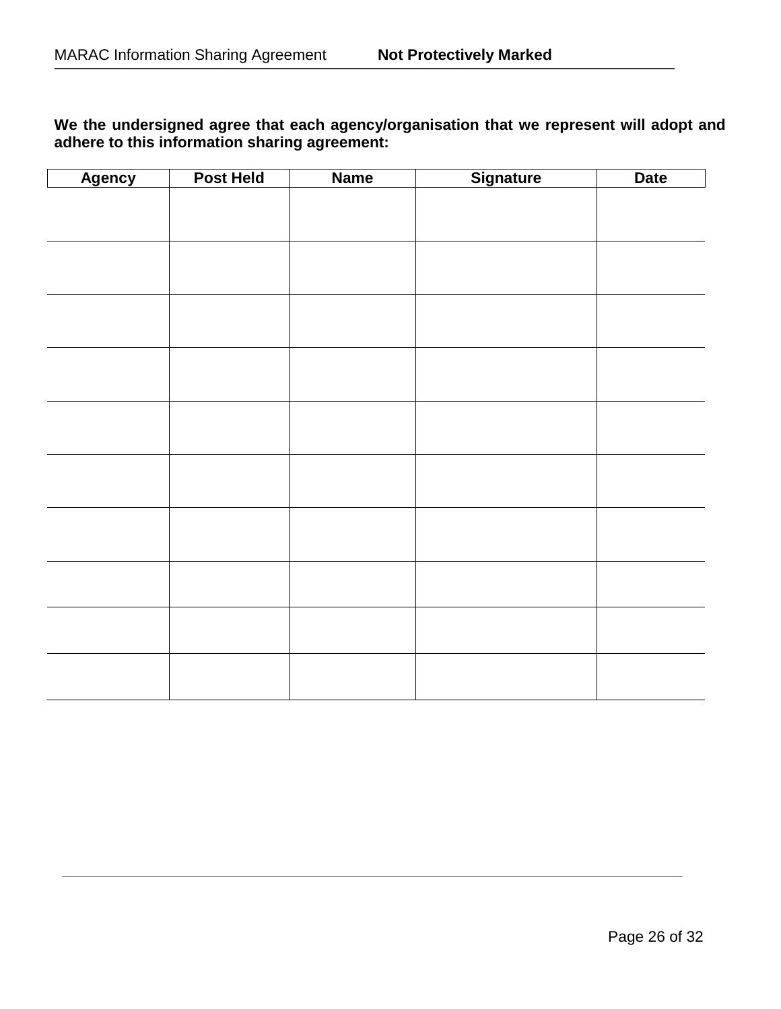# **We the undersigned agree that each agency/organisation that we represent will adopt and adhere to this information sharing agreement:**

| <b>Agency</b> | <b>Post Held</b> | <b>Name</b> | Signature | <b>Date</b> |
|---------------|------------------|-------------|-----------|-------------|
|               |                  |             |           |             |
|               |                  |             |           |             |
|               |                  |             |           |             |
|               |                  |             |           |             |
|               |                  |             |           |             |
|               |                  |             |           |             |
|               |                  |             |           |             |
|               |                  |             |           |             |
|               |                  |             |           |             |
|               |                  |             |           |             |
|               |                  |             |           |             |
|               |                  |             |           |             |
|               |                  |             |           |             |
|               |                  |             |           |             |
|               |                  |             |           |             |
|               |                  |             |           |             |
|               |                  |             |           |             |
|               |                  |             |           |             |
|               |                  |             |           |             |
|               |                  |             |           |             |
|               |                  |             |           |             |
|               |                  |             |           |             |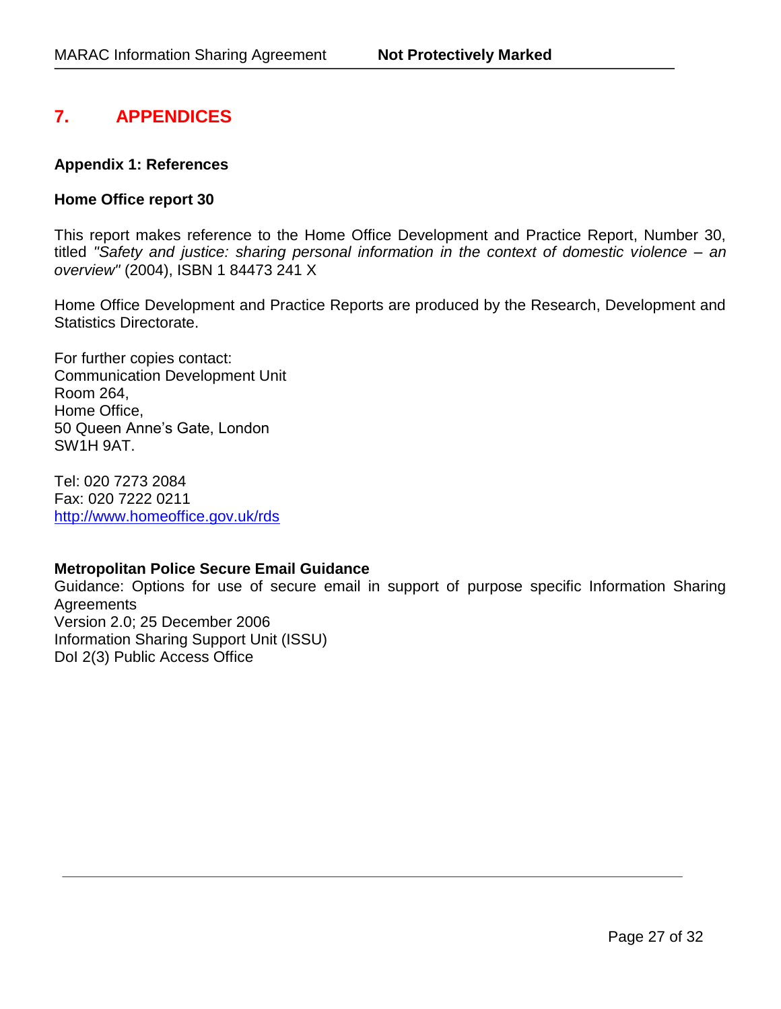# **7. APPENDICES**

#### **Appendix 1: References**

### **Home Office report 30**

This report makes reference to the Home Office Development and Practice Report, Number 30, titled *"Safety and justice: sharing personal information in the context of domestic violence – an overview"* (2004), ISBN 1 84473 241 X

Home Office Development and Practice Reports are produced by the Research, Development and Statistics Directorate.

For further copies contact: Communication Development Unit Room 264, Home Office, 50 Queen Anne's Gate, London SW1H 9AT.

Tel: 020 7273 2084 Fax: 020 7222 0211 <http://www.homeoffice.gov.uk/rds>

#### **Metropolitan Police Secure Email Guidance**

Guidance: Options for use of secure email in support of purpose specific Information Sharing **Agreements** Version 2.0; 25 December 2006 Information Sharing Support Unit (ISSU) DoI 2(3) Public Access Office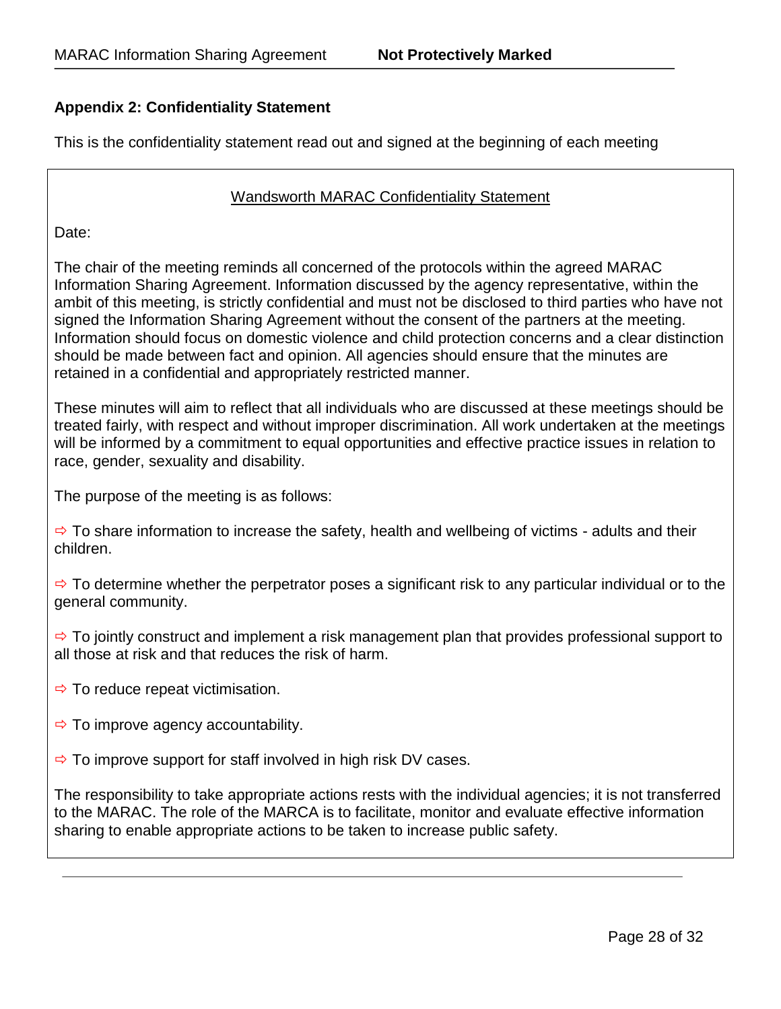# **Appendix 2: Confidentiality Statement**

This is the confidentiality statement read out and signed at the beginning of each meeting

#### Wandsworth MARAC Confidentiality Statement

Date:

The chair of the meeting reminds all concerned of the protocols within the agreed MARAC Information Sharing Agreement. Information discussed by the agency representative, within the ambit of this meeting, is strictly confidential and must not be disclosed to third parties who have not signed the Information Sharing Agreement without the consent of the partners at the meeting. Information should focus on domestic violence and child protection concerns and a clear distinction should be made between fact and opinion. All agencies should ensure that the minutes are retained in a confidential and appropriately restricted manner.

These minutes will aim to reflect that all individuals who are discussed at these meetings should be treated fairly, with respect and without improper discrimination. All work undertaken at the meetings will be informed by a commitment to equal opportunities and effective practice issues in relation to race, gender, sexuality and disability.

The purpose of the meeting is as follows:

 $\Rightarrow$  To share information to increase the safety, health and wellbeing of victims - adults and their children.

 $\Rightarrow$  To determine whether the perpetrator poses a significant risk to any particular individual or to the general community.

 $\Rightarrow$  To jointly construct and implement a risk management plan that provides professional support to all those at risk and that reduces the risk of harm.

- $\Rightarrow$  To reduce repeat victimisation.
- $\Rightarrow$  To improve agency accountability.
- $\Rightarrow$  To improve support for staff involved in high risk DV cases.

The responsibility to take appropriate actions rests with the individual agencies; it is not transferred to the MARAC. The role of the MARCA is to facilitate, monitor and evaluate effective information sharing to enable appropriate actions to be taken to increase public safety.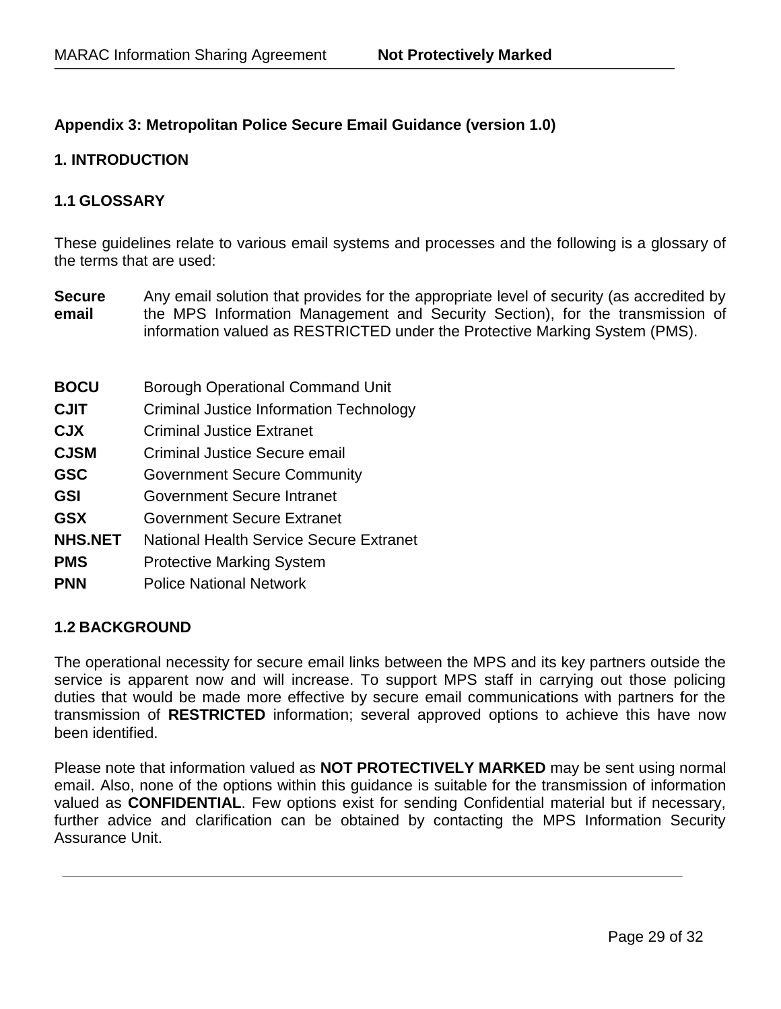# **Appendix 3: Metropolitan Police Secure Email Guidance (version 1.0)**

## **1. INTRODUCTION**

## **1.1 GLOSSARY**

These guidelines relate to various email systems and processes and the following is a glossary of the terms that are used:

- **Secure email**  Any email solution that provides for the appropriate level of security (as accredited by the MPS Information Management and Security Section), for the transmission of information valued as RESTRICTED under the Protective Marking System (PMS).
- **BOCU** Borough Operational Command Unit
- **CJIT** Criminal Justice Information Technology
- **CJX** Criminal Justice Extranet
- **CJSM** Criminal Justice Secure email
- **GSC Government Secure Community**
- **GSI Government Secure Intranet**
- **GSX** Government Secure Extranet
- **NHS.NET** National Health Service Secure Extranet
- **PMS** Protective Marking System
- **PNN** Police National Network

## **1.2 BACKGROUND**

The operational necessity for secure email links between the MPS and its key partners outside the service is apparent now and will increase. To support MPS staff in carrying out those policing duties that would be made more effective by secure email communications with partners for the transmission of **RESTRICTED** information; several approved options to achieve this have now been identified.

Please note that information valued as **NOT PROTECTIVELY MARKED** may be sent using normal email. Also, none of the options within this guidance is suitable for the transmission of information valued as **CONFIDENTIAL**. Few options exist for sending Confidential material but if necessary, further advice and clarification can be obtained by contacting the MPS Information Security Assurance Unit.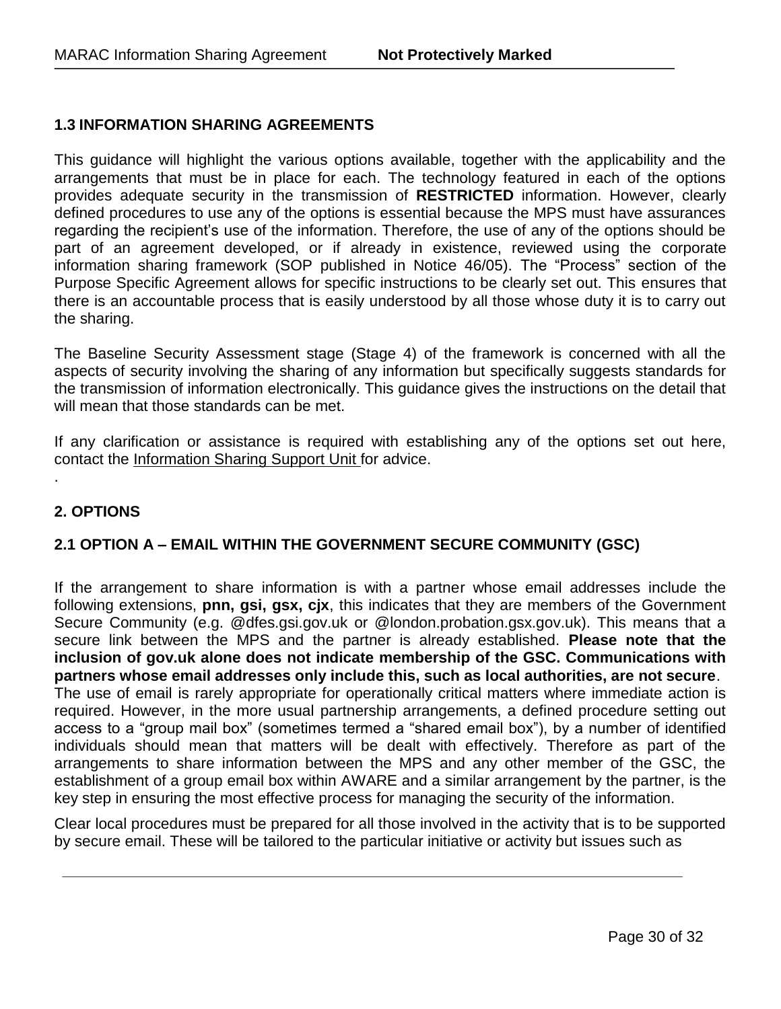# **1.3 INFORMATION SHARING AGREEMENTS**

This guidance will highlight the various options available, together with the applicability and the arrangements that must be in place for each. The technology featured in each of the options provides adequate security in the transmission of **RESTRICTED** information. However, clearly defined procedures to use any of the options is essential because the MPS must have assurances regarding the recipient's use of the information. Therefore, the use of any of the options should be part of an agreement developed, or if already in existence, reviewed using the corporate information sharing framework (SOP published in Notice 46/05). The "Process" section of the Purpose Specific Agreement allows for specific instructions to be clearly set out. This ensures that there is an accountable process that is easily understood by all those whose duty it is to carry out the sharing.

The Baseline Security Assessment stage (Stage 4) of the framework is concerned with all the aspects of security involving the sharing of any information but specifically suggests standards for the transmission of information electronically. This guidance gives the instructions on the detail that will mean that those standards can be met.

If any clarification or assistance is required with establishing any of the options set out here, contact the Information Sharing Support Unit for advice.

## **2. OPTIONS**

.

## **2.1 OPTION A – EMAIL WITHIN THE GOVERNMENT SECURE COMMUNITY (GSC)**

If the arrangement to share information is with a partner whose email addresses include the following extensions, **pnn, gsi, gsx, cjx**, this indicates that they are members of the Government Secure Community (e.g. @dfes.gsi.gov.uk or @london.probation.gsx.gov.uk). This means that a secure link between the MPS and the partner is already established. **Please note that the inclusion of gov.uk alone does not indicate membership of the GSC. Communications with partners whose email addresses only include this, such as local authorities, are not secure**. The use of email is rarely appropriate for operationally critical matters where immediate action is required. However, in the more usual partnership arrangements, a defined procedure setting out access to a "group mail box" (sometimes termed a "shared email box"), by a number of identified individuals should mean that matters will be dealt with effectively. Therefore as part of the arrangements to share information between the MPS and any other member of the GSC, the establishment of a group email box within AWARE and a similar arrangement by the partner, is the key step in ensuring the most effective process for managing the security of the information.

Clear local procedures must be prepared for all those involved in the activity that is to be supported by secure email. These will be tailored to the particular initiative or activity but issues such as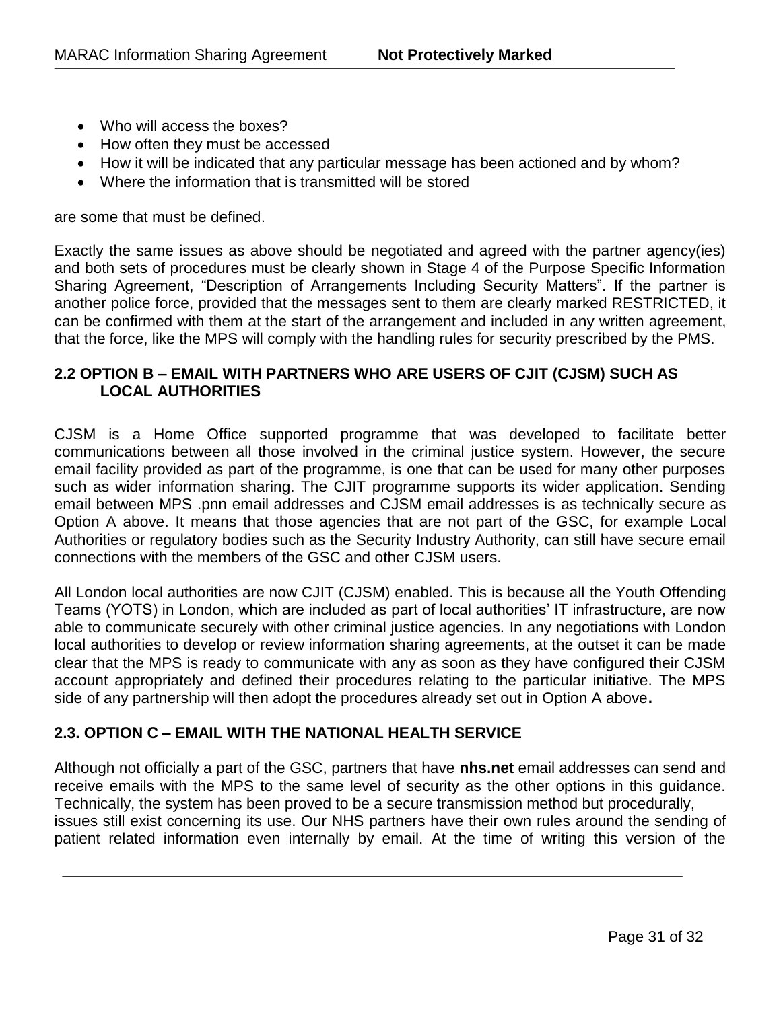- Who will access the boxes?
- How often they must be accessed
- How it will be indicated that any particular message has been actioned and by whom?
- Where the information that is transmitted will be stored

are some that must be defined.

Exactly the same issues as above should be negotiated and agreed with the partner agency(ies) and both sets of procedures must be clearly shown in Stage 4 of the Purpose Specific Information Sharing Agreement, "Description of Arrangements Including Security Matters". If the partner is another police force, provided that the messages sent to them are clearly marked RESTRICTED, it can be confirmed with them at the start of the arrangement and included in any written agreement, that the force, like the MPS will comply with the handling rules for security prescribed by the PMS.

## **2.2 OPTION B – EMAIL WITH PARTNERS WHO ARE USERS OF CJIT (CJSM) SUCH AS LOCAL AUTHORITIES**

CJSM is a Home Office supported programme that was developed to facilitate better communications between all those involved in the criminal justice system. However, the secure email facility provided as part of the programme, is one that can be used for many other purposes such as wider information sharing. The CJIT programme supports its wider application. Sending email between MPS .pnn email addresses and CJSM email addresses is as technically secure as Option A above. It means that those agencies that are not part of the GSC, for example Local Authorities or regulatory bodies such as the Security Industry Authority, can still have secure email connections with the members of the GSC and other CJSM users.

All London local authorities are now CJIT (CJSM) enabled. This is because all the Youth Offending Teams (YOTS) in London, which are included as part of local authorities' IT infrastructure, are now able to communicate securely with other criminal justice agencies. In any negotiations with London local authorities to develop or review information sharing agreements, at the outset it can be made clear that the MPS is ready to communicate with any as soon as they have configured their CJSM account appropriately and defined their procedures relating to the particular initiative. The MPS side of any partnership will then adopt the procedures already set out in Option A above**.** 

# **2.3. OPTION C – EMAIL WITH THE NATIONAL HEALTH SERVICE**

Although not officially a part of the GSC, partners that have **nhs.net** email addresses can send and receive emails with the MPS to the same level of security as the other options in this guidance. Technically, the system has been proved to be a secure transmission method but procedurally, issues still exist concerning its use. Our NHS partners have their own rules around the sending of patient related information even internally by email. At the time of writing this version of the